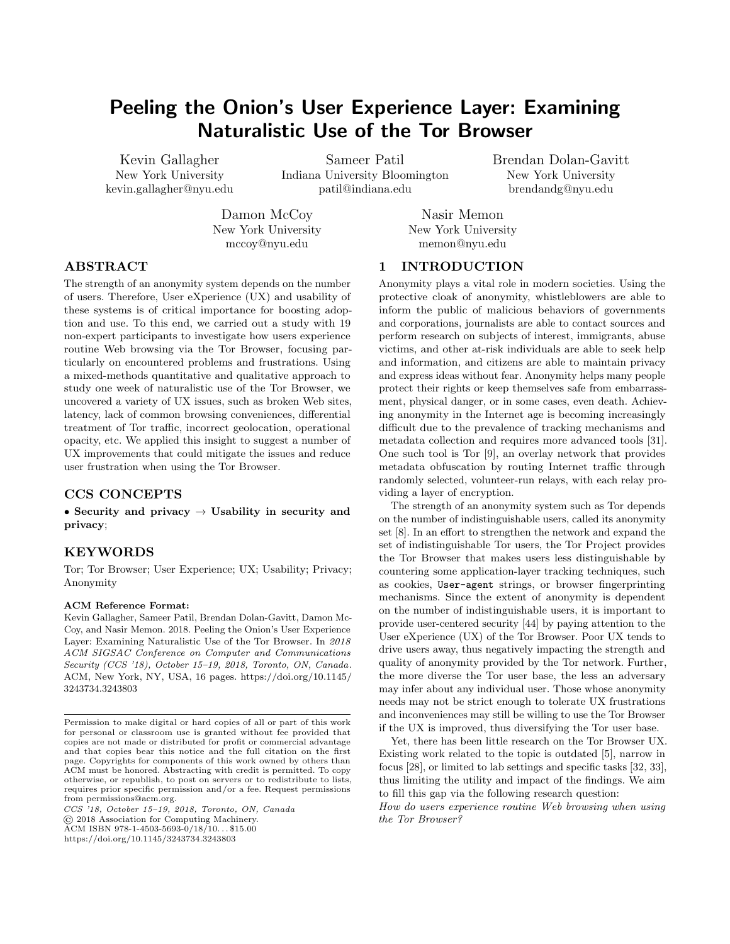# Peeling the Onion's User Experience Layer: Examining Naturalistic Use of the Tor Browser

Kevin Gallagher New York University kevin.gallagher@nyu.edu

Sameer Patil Indiana University Bloomington patil@indiana.edu

Brendan Dolan-Gavitt New York University brendandg@nyu.edu

Damon McCoy New York University mccoy@nyu.edu

Nasir Memon New York University memon@nyu.edu

## ABSTRACT

The strength of an anonymity system depends on the number of users. Therefore, User eXperience (UX) and usability of these systems is of critical importance for boosting adoption and use. To this end, we carried out a study with 19 non-expert participants to investigate how users experience routine Web browsing via the Tor Browser, focusing particularly on encountered problems and frustrations. Using a mixed-methods quantitative and qualitative approach to study one week of naturalistic use of the Tor Browser, we uncovered a variety of UX issues, such as broken Web sites, latency, lack of common browsing conveniences, differential treatment of Tor traffic, incorrect geolocation, operational opacity, etc. We applied this insight to suggest a number of UX improvements that could mitigate the issues and reduce user frustration when using the Tor Browser.

#### CCS CONCEPTS

• Security and privacy  $\rightarrow$  Usability in security and privacy;

#### KEYWORDS

Tor; Tor Browser; User Experience; UX; Usability; Privacy; Anonymity

#### ACM Reference Format:

Kevin Gallagher, Sameer Patil, Brendan Dolan-Gavitt, Damon Mc-Coy, and Nasir Memon. 2018. Peeling the Onion's User Experience Layer: Examining Naturalistic Use of the Tor Browser. In 2018 ACM SIGSAC Conference on Computer and Communications Security (CCS '18), October 15-19, 2018, Toronto, ON, Canada. ACM, New York, NY, USA, [16](#page-15-0) pages. [https://doi.org/10.1145/](https://doi.org/10.1145/3243734.3243803) [3243734.3243803](https://doi.org/10.1145/3243734.3243803)

CCS '18, October 15–19, 2018, Toronto, ON, Canada

© 2018 Association for Computing Machinery.

 $\overline{A}$ CM ISBN 978-1-4503-5693-0/18/10...\$15.00

<https://doi.org/10.1145/3243734.3243803>

#### 1 INTRODUCTION

Anonymity plays a vital role in modern societies. Using the protective cloak of anonymity, whistleblowers are able to inform the public of malicious behaviors of governments and corporations, journalists are able to contact sources and perform research on subjects of interest, immigrants, abuse victims, and other at-risk individuals are able to seek help and information, and citizens are able to maintain privacy and express ideas without fear. Anonymity helps many people protect their rights or keep themselves safe from embarrassment, physical danger, or in some cases, even death. Achieving anonymity in the Internet age is becoming increasingly difficult due to the prevalence of tracking mechanisms and metadata collection and requires more advanced tools [\[31\]](#page-12-0). One such tool is Tor [\[9\]](#page-11-0), an overlay network that provides metadata obfuscation by routing Internet traffic through randomly selected, volunteer-run relays, with each relay providing a layer of encryption.

The strength of an anonymity system such as Tor depends on the number of indistinguishable users, called its anonymity set [\[8\]](#page-11-1). In an effort to strengthen the network and expand the set of indistinguishable Tor users, the Tor Project provides the Tor Browser that makes users less distinguishable by countering some application-layer tracking techniques, such as cookies, User-agent strings, or browser fingerprinting mechanisms. Since the extent of anonymity is dependent on the number of indistinguishable users, it is important to provide user-centered security [\[44\]](#page-12-1) by paying attention to the User eXperience (UX) of the Tor Browser. Poor UX tends to drive users away, thus negatively impacting the strength and quality of anonymity provided by the Tor network. Further, the more diverse the Tor user base, the less an adversary may infer about any individual user. Those whose anonymity needs may not be strict enough to tolerate UX frustrations and inconveniences may still be willing to use the Tor Browser if the UX is improved, thus diversifying the Tor user base.

Yet, there has been little research on the Tor Browser UX. Existing work related to the topic is outdated [\[5\]](#page-11-2), narrow in focus [\[28\]](#page-12-2), or limited to lab settings and specific tasks [\[32,](#page-12-3) [33\]](#page-12-4), thus limiting the utility and impact of the findings. We aim to fill this gap via the following research question:

How do users experience routine Web browsing when using the Tor Browser?

Permission to make digital or hard copies of all or part of this work for personal or classroom use is granted without fee provided that copies are not made or distributed for profit or commercial advantage and that copies bear this notice and the full citation on the first page. Copyrights for components of this work owned by others than ACM must be honored. Abstracting with credit is permitted. To copy otherwise, or republish, to post on servers or to redistribute to lists, requires prior specific permission and/or a fee. Request permissions from permissions@acm.org.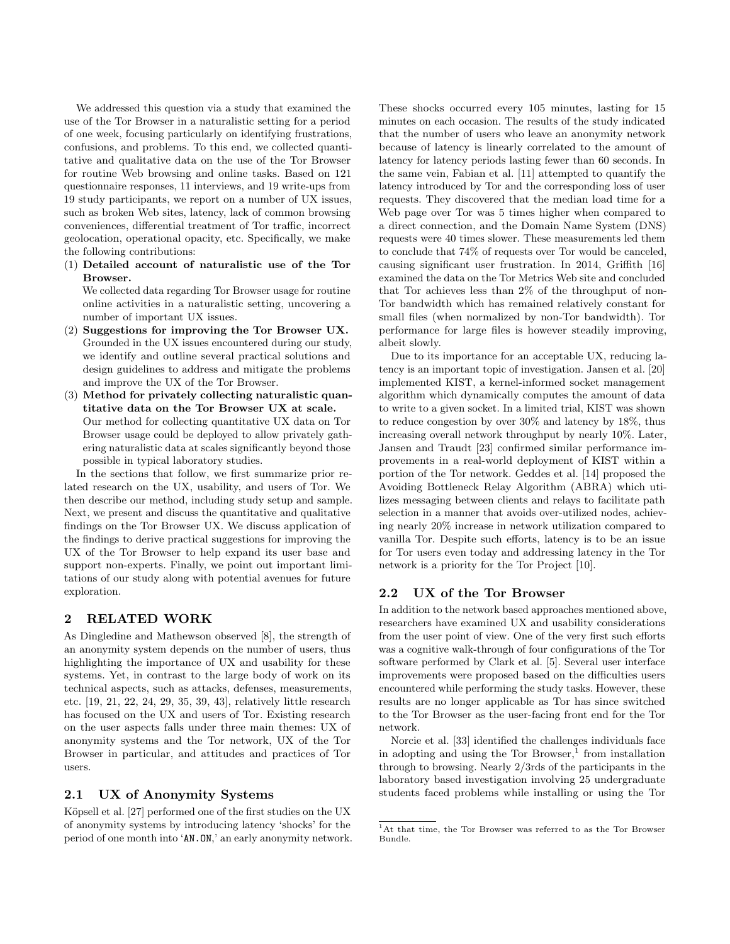We addressed this question via a study that examined the use of the Tor Browser in a naturalistic setting for a period of one week, focusing particularly on identifying frustrations, confusions, and problems. To this end, we collected quantitative and qualitative data on the use of the Tor Browser for routine Web browsing and online tasks. Based on 121 questionnaire responses, 11 interviews, and 19 write-ups from 19 study participants, we report on a number of UX issues, such as broken Web sites, latency, lack of common browsing conveniences, differential treatment of Tor traffic, incorrect geolocation, operational opacity, etc. Specifically, we make the following contributions:

(1) Detailed account of naturalistic use of the Tor Browser.

We collected data regarding Tor Browser usage for routine online activities in a naturalistic setting, uncovering a number of important UX issues.

- (2) Suggestions for improving the Tor Browser UX. Grounded in the UX issues encountered during our study, we identify and outline several practical solutions and design guidelines to address and mitigate the problems and improve the UX of the Tor Browser.
- (3) Method for privately collecting naturalistic quantitative data on the Tor Browser UX at scale. Our method for collecting quantitative UX data on Tor Browser usage could be deployed to allow privately gathering naturalistic data at scales significantly beyond those possible in typical laboratory studies.

In the sections that follow, we first summarize prior related research on the UX, usability, and users of Tor. We then describe our method, including study setup and sample. Next, we present and discuss the quantitative and qualitative findings on the Tor Browser UX. We discuss application of the findings to derive practical suggestions for improving the UX of the Tor Browser to help expand its user base and support non-experts. Finally, we point out important limitations of our study along with potential avenues for future exploration.

#### 2 RELATED WORK

As Dingledine and Mathewson observed [\[8\]](#page-11-1), the strength of an anonymity system depends on the number of users, thus highlighting the importance of UX and usability for these systems. Yet, in contrast to the large body of work on its technical aspects, such as attacks, defenses, measurements, etc. [\[19,](#page-11-3) [21,](#page-11-4) [22,](#page-11-5) [24,](#page-11-6) [29,](#page-12-5) [35,](#page-12-6) [39,](#page-12-7) [43\]](#page-12-8), relatively little research has focused on the UX and users of Tor. Existing research on the user aspects falls under three main themes: UX of anonymity systems and the Tor network, UX of the Tor Browser in particular, and attitudes and practices of Tor users.

#### 2.1 UX of Anonymity Systems

Köpsell et al. [\[27\]](#page-11-7) performed one of the first studies on the UX of anonymity systems by introducing latency 'shocks' for the period of one month into 'AN.ON,' an early anonymity network. These shocks occurred every 105 minutes, lasting for 15 minutes on each occasion. The results of the study indicated that the number of users who leave an anonymity network because of latency is linearly correlated to the amount of latency for latency periods lasting fewer than 60 seconds. In the same vein, Fabian et al. [\[11\]](#page-11-8) attempted to quantify the latency introduced by Tor and the corresponding loss of user requests. They discovered that the median load time for a Web page over Tor was 5 times higher when compared to a direct connection, and the Domain Name System (DNS) requests were 40 times slower. These measurements led them to conclude that 74% of requests over Tor would be canceled, causing significant user frustration. In 2014, Griffith [\[16\]](#page-11-9) examined the data on the Tor Metrics Web site and concluded that Tor achieves less than 2% of the throughput of non-Tor bandwidth which has remained relatively constant for small files (when normalized by non-Tor bandwidth). Tor performance for large files is however steadily improving, albeit slowly.

Due to its importance for an acceptable UX, reducing latency is an important topic of investigation. Jansen et al. [\[20\]](#page-11-10) implemented KIST, a kernel-informed socket management algorithm which dynamically computes the amount of data to write to a given socket. In a limited trial, KIST was shown to reduce congestion by over 30% and latency by 18%, thus increasing overall network throughput by nearly 10%. Later, Jansen and Traudt [\[23\]](#page-11-11) confirmed similar performance improvements in a real-world deployment of KIST within a portion of the Tor network. Geddes et al. [\[14\]](#page-11-12) proposed the Avoiding Bottleneck Relay Algorithm (ABRA) which utilizes messaging between clients and relays to facilitate path selection in a manner that avoids over-utilized nodes, achieving nearly 20% increase in network utilization compared to vanilla Tor. Despite such efforts, latency is to be an issue for Tor users even today and addressing latency in the Tor network is a priority for the Tor Project [\[10\]](#page-11-13).

#### 2.2 UX of the Tor Browser

In addition to the network based approaches mentioned above, researchers have examined UX and usability considerations from the user point of view. One of the very first such efforts was a cognitive walk-through of four configurations of the Tor software performed by Clark et al. [\[5\]](#page-11-2). Several user interface improvements were proposed based on the difficulties users encountered while performing the study tasks. However, these results are no longer applicable as Tor has since switched to the Tor Browser as the user-facing front end for the Tor network.

Norcie et al. [\[33\]](#page-12-4) identified the challenges individuals face in adopting and using the Tor Browser, $<sup>1</sup>$  $<sup>1</sup>$  $<sup>1</sup>$  from installation</sup> through to browsing. Nearly 2/3rds of the participants in the laboratory based investigation involving 25 undergraduate students faced problems while installing or using the Tor

<span id="page-1-0"></span> $^{\rm 1}{\rm At}$  that time, the Tor Browser was referred to as the Tor Browser Bundle.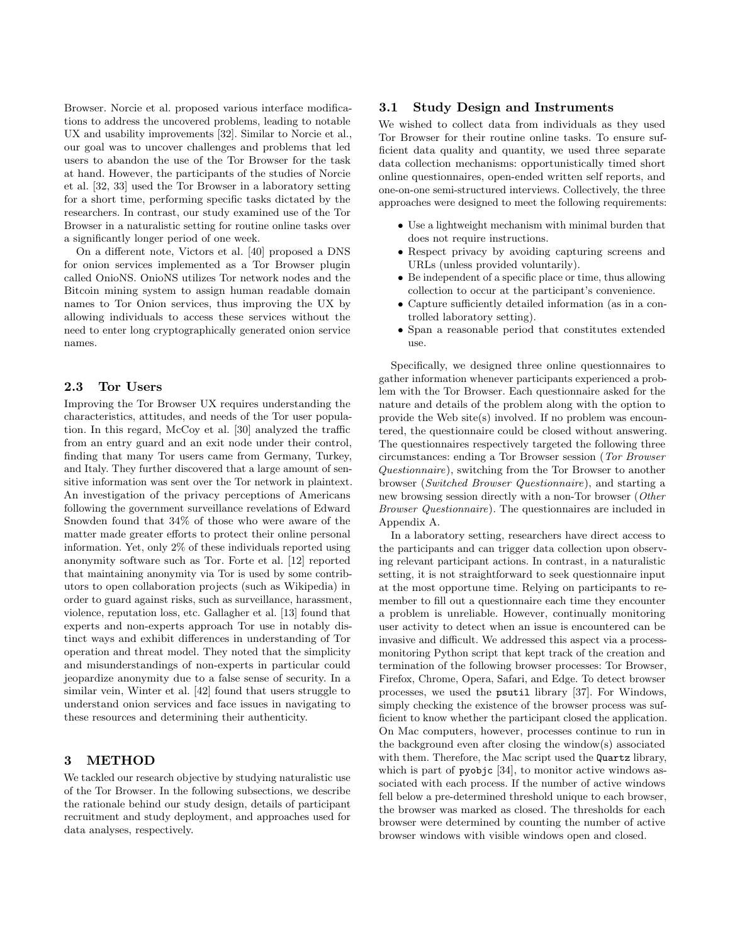Browser. Norcie et al. proposed various interface modifications to address the uncovered problems, leading to notable UX and usability improvements [\[32\]](#page-12-3). Similar to Norcie et al., our goal was to uncover challenges and problems that led users to abandon the use of the Tor Browser for the task at hand. However, the participants of the studies of Norcie et al. [\[32,](#page-12-3) [33\]](#page-12-4) used the Tor Browser in a laboratory setting for a short time, performing specific tasks dictated by the researchers. In contrast, our study examined use of the Tor Browser in a naturalistic setting for routine online tasks over a significantly longer period of one week.

On a different note, Victors et al. [\[40\]](#page-12-9) proposed a DNS for onion services implemented as a Tor Browser plugin called OnioNS. OnioNS utilizes Tor network nodes and the Bitcoin mining system to assign human readable domain names to Tor Onion services, thus improving the UX by allowing individuals to access these services without the need to enter long cryptographically generated onion service names.

## 2.3 Tor Users

Improving the Tor Browser UX requires understanding the characteristics, attitudes, and needs of the Tor user population. In this regard, McCoy et al. [\[30\]](#page-12-10) analyzed the traffic from an entry guard and an exit node under their control, finding that many Tor users came from Germany, Turkey, and Italy. They further discovered that a large amount of sensitive information was sent over the Tor network in plaintext. An investigation of the privacy perceptions of Americans following the government surveillance revelations of Edward Snowden found that 34% of those who were aware of the matter made greater efforts to protect their online personal information. Yet, only 2% of these individuals reported using anonymity software such as Tor. Forte et al. [\[12\]](#page-11-14) reported that maintaining anonymity via Tor is used by some contributors to open collaboration projects (such as Wikipedia) in order to guard against risks, such as surveillance, harassment, violence, reputation loss, etc. Gallagher et al. [\[13\]](#page-11-15) found that experts and non-experts approach Tor use in notably distinct ways and exhibit differences in understanding of Tor operation and threat model. They noted that the simplicity and misunderstandings of non-experts in particular could jeopardize anonymity due to a false sense of security. In a similar vein, Winter et al. [\[42\]](#page-12-11) found that users struggle to understand onion services and face issues in navigating to these resources and determining their authenticity.

## 3 METHOD

We tackled our research objective by studying naturalistic use of the Tor Browser. In the following subsections, we describe the rationale behind our study design, details of participant recruitment and study deployment, and approaches used for data analyses, respectively.

#### 3.1 Study Design and Instruments

We wished to collect data from individuals as they used Tor Browser for their routine online tasks. To ensure sufficient data quality and quantity, we used three separate data collection mechanisms: opportunistically timed short online questionnaires, open-ended written self reports, and one-on-one semi-structured interviews. Collectively, the three approaches were designed to meet the following requirements:

- Use a lightweight mechanism with minimal burden that does not require instructions.
- Respect privacy by avoiding capturing screens and URLs (unless provided voluntarily).
- Be independent of a specific place or time, thus allowing collection to occur at the participant's convenience.
- Capture sufficiently detailed information (as in a controlled laboratory setting).
- Span a reasonable period that constitutes extended use.

Specifically, we designed three online questionnaires to gather information whenever participants experienced a problem with the Tor Browser. Each questionnaire asked for the nature and details of the problem along with the option to provide the Web site(s) involved. If no problem was encountered, the questionnaire could be closed without answering. The questionnaires respectively targeted the following three circumstances: ending a Tor Browser session (Tor Browser Questionnaire), switching from the Tor Browser to another browser (Switched Browser Questionnaire), and starting a new browsing session directly with a non-Tor browser (Other Browser Questionnaire). The questionnaires are included in Appendix [A.](#page-13-0)

In a laboratory setting, researchers have direct access to the participants and can trigger data collection upon observing relevant participant actions. In contrast, in a naturalistic setting, it is not straightforward to seek questionnaire input at the most opportune time. Relying on participants to remember to fill out a questionnaire each time they encounter a problem is unreliable. However, continually monitoring user activity to detect when an issue is encountered can be invasive and difficult. We addressed this aspect via a processmonitoring Python script that kept track of the creation and termination of the following browser processes: Tor Browser, Firefox, Chrome, Opera, Safari, and Edge. To detect browser processes, we used the psutil library [\[37\]](#page-12-12). For Windows, simply checking the existence of the browser process was sufficient to know whether the participant closed the application. On Mac computers, however, processes continue to run in the background even after closing the window(s) associated with them. Therefore, the Mac script used the Quartz library, which is part of pyobjc [\[34\]](#page-12-13), to monitor active windows associated with each process. If the number of active windows fell below a pre-determined threshold unique to each browser. the browser was marked as closed. The thresholds for each browser were determined by counting the number of active browser windows with visible windows open and closed.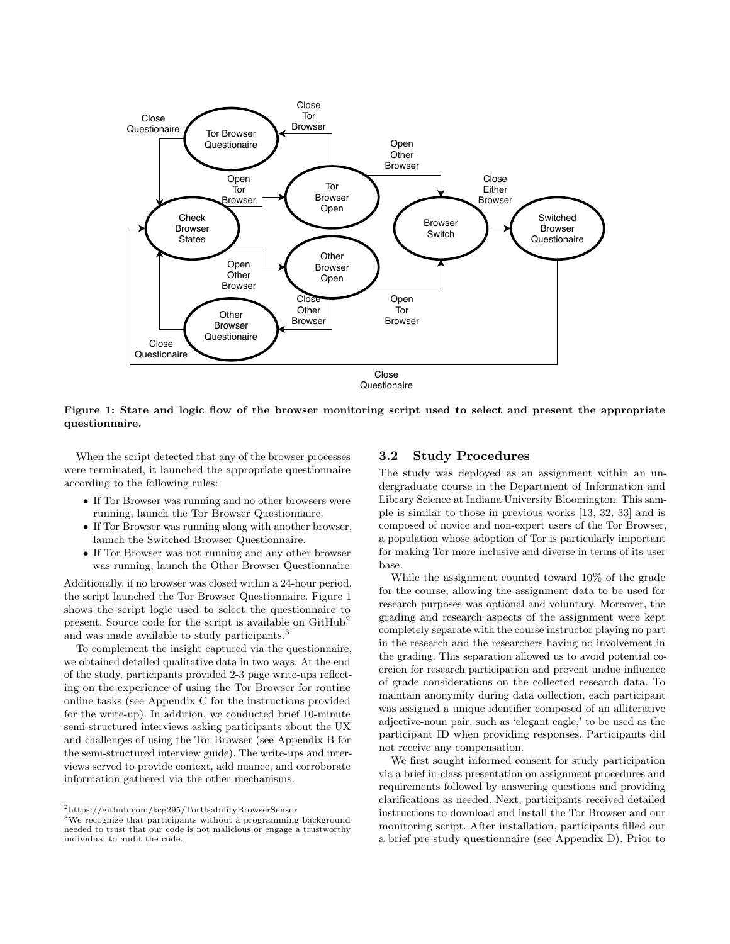<span id="page-3-0"></span>

#### Figure 1: State and logic flow of the browser monitoring script used to select and present the appropriate questionnaire.

When the script detected that any of the browser processes were terminated, it launched the appropriate questionnaire according to the following rules:

- If Tor Browser was running and no other browsers were running, launch the Tor Browser Questionnaire.
- If Tor Browser was running along with another browser, launch the Switched Browser Questionnaire.
- If Tor Browser was not running and any other browser was running, launch the Other Browser Questionnaire.

Additionally, if no browser was closed within a 24-hour period, the script launched the Tor Browser Questionnaire. Figure [1](#page-3-0) shows the script logic used to select the questionnaire to present. Source code for the script is available on GitHub[2](#page-3-1) and was made available to study participants.[3](#page-3-2)

To complement the insight captured via the questionnaire, we obtained detailed qualitative data in two ways. At the end of the study, participants provided 2-3 page write-ups reflecting on the experience of using the Tor Browser for routine online tasks (see Appendix [C](#page-14-0) for the instructions provided for the write-up). In addition, we conducted brief 10-minute semi-structured interviews asking participants about the UX and challenges of using the Tor Browser (see Appendix [B](#page-14-1) for the semi-structured interview guide). The write-ups and interviews served to provide context, add nuance, and corroborate information gathered via the other mechanisms.

#### 3.2 Study Procedures

The study was deployed as an assignment within an undergraduate course in the Department of Information and Library Science at Indiana University Bloomington. This sample is similar to those in previous works [\[13,](#page-11-15) [32,](#page-12-3) [33\]](#page-12-4) and is composed of novice and non-expert users of the Tor Browser, a population whose adoption of Tor is particularly important for making Tor more inclusive and diverse in terms of its user base.

While the assignment counted toward 10% of the grade for the course, allowing the assignment data to be used for research purposes was optional and voluntary. Moreover, the grading and research aspects of the assignment were kept completely separate with the course instructor playing no part in the research and the researchers having no involvement in the grading. This separation allowed us to avoid potential coercion for research participation and prevent undue influence of grade considerations on the collected research data. To maintain anonymity during data collection, each participant was assigned a unique identifier composed of an alliterative adjective-noun pair, such as 'elegant eagle,' to be used as the participant ID when providing responses. Participants did not receive any compensation.

We first sought informed consent for study participation via a brief in-class presentation on assignment procedures and requirements followed by answering questions and providing clarifications as needed. Next, participants received detailed instructions to download and install the Tor Browser and our monitoring script. After installation, participants filled out a brief pre-study questionnaire (see Appendix [D\)](#page-14-2). Prior to

<span id="page-3-1"></span> $^2$ <https://github.com/kcg295/TorUsabilityBrowserSensor>

<span id="page-3-2"></span><sup>&</sup>lt;sup>3</sup>We recognize that participants without a programming background needed to trust that our code is not malicious or engage a trustworthy individual to audit the code.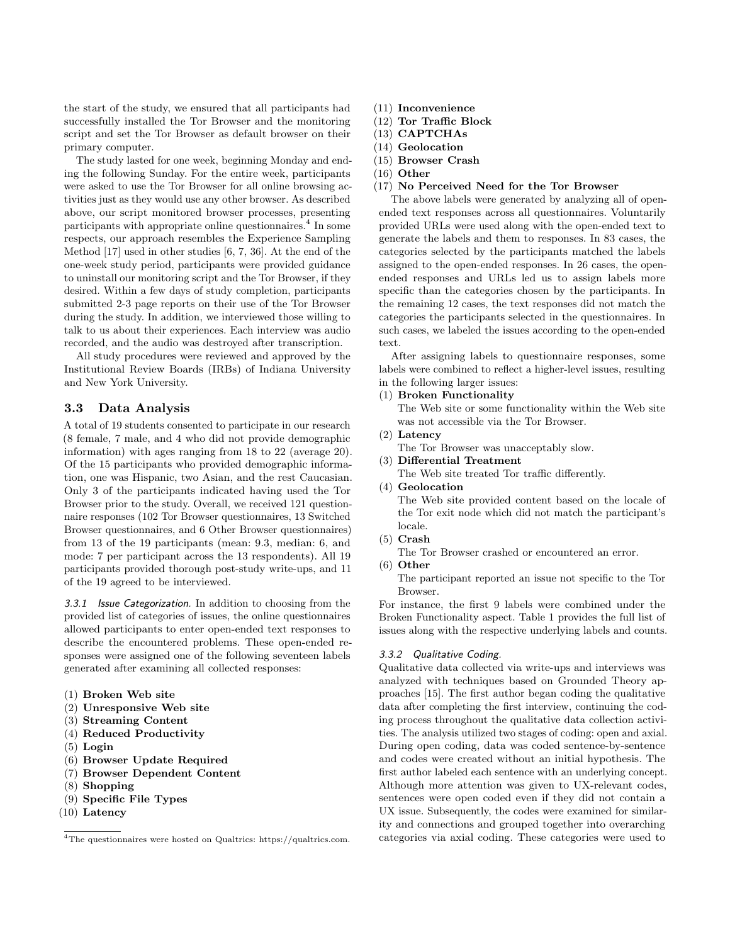the start of the study, we ensured that all participants had successfully installed the Tor Browser and the monitoring script and set the Tor Browser as default browser on their primary computer.

The study lasted for one week, beginning Monday and ending the following Sunday. For the entire week, participants were asked to use the Tor Browser for all online browsing activities just as they would use any other browser. As described above, our script monitored browser processes, presenting participants with appropriate online questionnaires.<sup>[4](#page-4-0)</sup> In some respects, our approach resembles the Experience Sampling Method [\[17\]](#page-11-16) used in other studies [\[6,](#page-11-17) [7,](#page-11-18) [36\]](#page-12-14). At the end of the one-week study period, participants were provided guidance to uninstall our monitoring script and the Tor Browser, if they desired. Within a few days of study completion, participants submitted 2-3 page reports on their use of the Tor Browser during the study. In addition, we interviewed those willing to talk to us about their experiences. Each interview was audio recorded, and the audio was destroyed after transcription.

All study procedures were reviewed and approved by the Institutional Review Boards (IRBs) of Indiana University and New York University.

#### 3.3 Data Analysis

A total of 19 students consented to participate in our research (8 female, 7 male, and 4 who did not provide demographic information) with ages ranging from 18 to 22 (average 20). Of the 15 participants who provided demographic information, one was Hispanic, two Asian, and the rest Caucasian. Only 3 of the participants indicated having used the Tor Browser prior to the study. Overall, we received 121 questionnaire responses (102 Tor Browser questionnaires, 13 Switched Browser questionnaires, and 6 Other Browser questionnaires) from 13 of the 19 participants (mean: 9.3, median: 6, and mode: 7 per participant across the 13 respondents). All 19 participants provided thorough post-study write-ups, and 11 of the 19 agreed to be interviewed.

3.3.1 Issue Categorization. In addition to choosing from the provided list of categories of issues, the online questionnaires allowed participants to enter open-ended text responses to describe the encountered problems. These open-ended responses were assigned one of the following seventeen labels generated after examining all collected responses:

- (1) Broken Web site
- (2) Unresponsive Web site
- (3) Streaming Content
- (4) Reduced Productivity
- $(5)$  Login
- (6) Browser Update Required
- (7) Browser Dependent Content
- (8) Shopping
- (9) Specific File Types
- (10) Latency
- (11) Inconvenience
- (12) Tor Traffic Block
- (13) CAPTCHAs
- (14) Geolocation
- (15) Browser Crash
- (16) Other
- (17) No Perceived Need for the Tor Browser

The above labels were generated by analyzing all of openended text responses across all questionnaires. Voluntarily provided URLs were used along with the open-ended text to generate the labels and them to responses. In 83 cases, the categories selected by the participants matched the labels assigned to the open-ended responses. In 26 cases, the openended responses and URLs led us to assign labels more specific than the categories chosen by the participants. In the remaining 12 cases, the text responses did not match the categories the participants selected in the questionnaires. In such cases, we labeled the issues according to the open-ended text.

After assigning labels to questionnaire responses, some labels were combined to reflect a higher-level issues, resulting in the following larger issues:

(1) Broken Functionality

The Web site or some functionality within the Web site was not accessible via the Tor Browser.

- (2) Latency
- The Tor Browser was unacceptably slow.
- (3) Differential Treatment

The Web site treated Tor traffic differently.

(4) Geolocation

The Web site provided content based on the locale of the Tor exit node which did not match the participant's locale.

- (5) Crash
	- The Tor Browser crashed or encountered an error.
- (6) Other

The participant reported an issue not specific to the Tor Browser.

For instance, the first 9 labels were combined under the Broken Functionality aspect. Table [1](#page-7-0) provides the full list of issues along with the respective underlying labels and counts.

#### 3.3.2 Qualitative Coding.

Qualitative data collected via write-ups and interviews was analyzed with techniques based on Grounded Theory approaches [\[15\]](#page-11-19). The first author began coding the qualitative data after completing the first interview, continuing the coding process throughout the qualitative data collection activities. The analysis utilized two stages of coding: open and axial. During open coding, data was coded sentence-by-sentence and codes were created without an initial hypothesis. The first author labeled each sentence with an underlying concept. Although more attention was given to UX-relevant codes, sentences were open coded even if they did not contain a UX issue. Subsequently, the codes were examined for similarity and connections and grouped together into overarching categories via axial coding. These categories were used to

<span id="page-4-0"></span><sup>4</sup>The questionnaires were hosted on Qualtrics: [https://qualtrics.com.](https://qualtrics.com)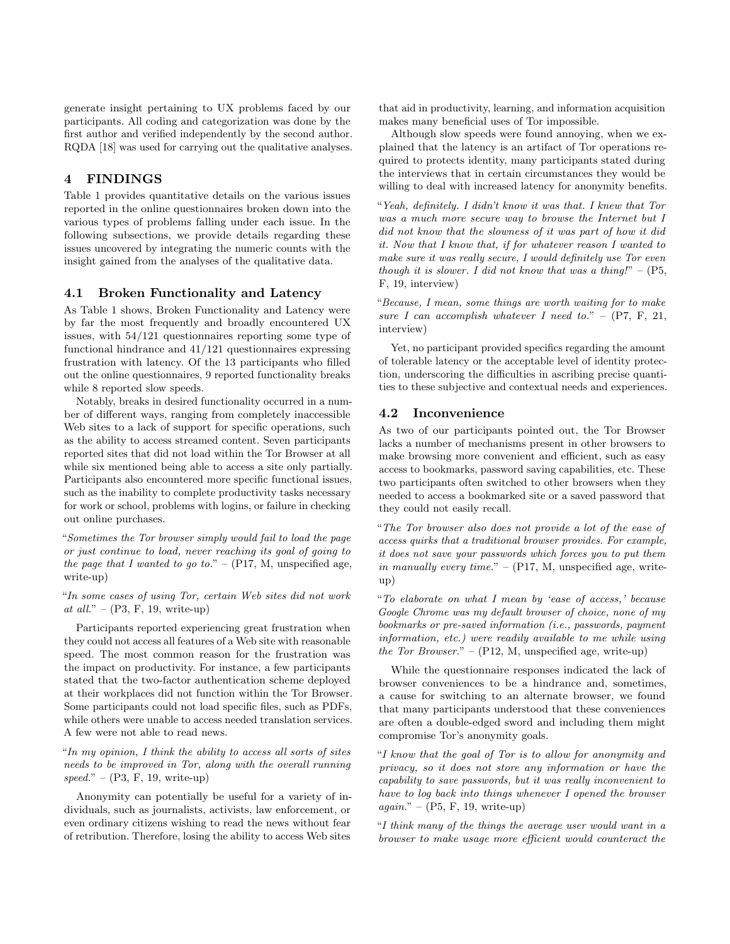generate insight pertaining to UX problems faced by our participants. All coding and categorization was done by the first author and verified independently by the second author. RQDA [\[18\]](#page-11-20) was used for carrying out the qualitative analyses.

#### 4 FINDINGS

Table [1](#page-7-0) provides quantitative details on the various issues reported in the online questionnaires broken down into the various types of problems falling under each issue. In the following subsections, we provide details regarding these issues uncovered by integrating the numeric counts with the insight gained from the analyses of the qualitative data.

## 4.1 Broken Functionality and Latency

As Table [1](#page-7-0) shows, Broken Functionality and Latency were by far the most frequently and broadly encountered UX issues, with 54/121 questionnaires reporting some type of functional hindrance and 41/121 questionnaires expressing frustration with latency. Of the 13 participants who filled out the online questionnaires, 9 reported functionality breaks while 8 reported slow speeds.

Notably, breaks in desired functionality occurred in a number of different ways, ranging from completely inaccessible Web sites to a lack of support for specific operations, such as the ability to access streamed content. Seven participants reported sites that did not load within the Tor Browser at all while six mentioned being able to access a site only partially. Participants also encountered more specific functional issues, such as the inability to complete productivity tasks necessary for work or school, problems with logins, or failure in checking out online purchases.

"Sometimes the Tor browser simply would fail to load the page or just continue to load, never reaching its goal of going to the page that I wanted to go to."  $-$  (P17, M, unspecified age, write-up)

"In some cases of using Tor, certain Web sites did not work at all." –  $(P3, F, 19, write-up)$ 

Participants reported experiencing great frustration when they could not access all features of a Web site with reasonable speed. The most common reason for the frustration was the impact on productivity. For instance, a few participants stated that the two-factor authentication scheme deployed at their workplaces did not function within the Tor Browser. Some participants could not load specific files, such as PDFs, while others were unable to access needed translation services. A few were not able to read news.

"In my opinion, I think the ability to access all sorts of sites needs to be improved in Tor, along with the overall running  $speed." - (P3, F, 19, write-up)$ 

Anonymity can potentially be useful for a variety of individuals, such as journalists, activists, law enforcement, or even ordinary citizens wishing to read the news without fear of retribution. Therefore, losing the ability to access Web sites

that aid in productivity, learning, and information acquisition makes many beneficial uses of Tor impossible.

Although slow speeds were found annoying, when we explained that the latency is an artifact of Tor operations required to protects identity, many participants stated during the interviews that in certain circumstances they would be willing to deal with increased latency for anonymity benefits.

"Yeah, definitely. I didn't know it was that. I knew that Tor was a much more secure way to browse the Internet but I did not know that the slowness of it was part of how it did it. Now that I know that, if for whatever reason I wanted to make sure it was really secure, I would definitely use Tor even though it is slower. I did not know that was a thing!"  $-$  (P5, F, 19, interview)

"Because, I mean, some things are worth waiting for to make sure I can accomplish whatever I need to." –  $(PI, F, 21,$ interview)

Yet, no participant provided specifics regarding the amount of tolerable latency or the acceptable level of identity protection, underscoring the difficulties in ascribing precise quantities to these subjective and contextual needs and experiences.

## 4.2 Inconvenience

As two of our participants pointed out, the Tor Browser lacks a number of mechanisms present in other browsers to make browsing more convenient and efficient, such as easy access to bookmarks, password saving capabilities, etc. These two participants often switched to other browsers when they needed to access a bookmarked site or a saved password that they could not easily recall.

"The Tor browser also does not provide a lot of the ease of access quirks that a traditional browser provides. For example, it does not save your passwords which forces you to put them in manually every time."  $-$  (P17, M, unspecified age, writeup)

"To elaborate on what I mean by 'ease of access,' because Google Chrome was my default browser of choice, none of my bookmarks or pre-saved information (i.e., passwords, payment information, etc.) were readily available to me while using the Tor Browser." –  $(P12, M,$  unspecified age, write-up)

While the questionnaire responses indicated the lack of browser conveniences to be a hindrance and, sometimes, a cause for switching to an alternate browser, we found that many participants understood that these conveniences are often a double-edged sword and including them might compromise Tor's anonymity goals.

"I know that the goal of Tor is to allow for anonymity and privacy, so it does not store any information or have the capability to save passwords, but it was really inconvenient to have to log back into things whenever I opened the browser  $again." - (P5, F, 19, write-up)$ 

"I think many of the things the average user would want in a browser to make usage more efficient would counteract the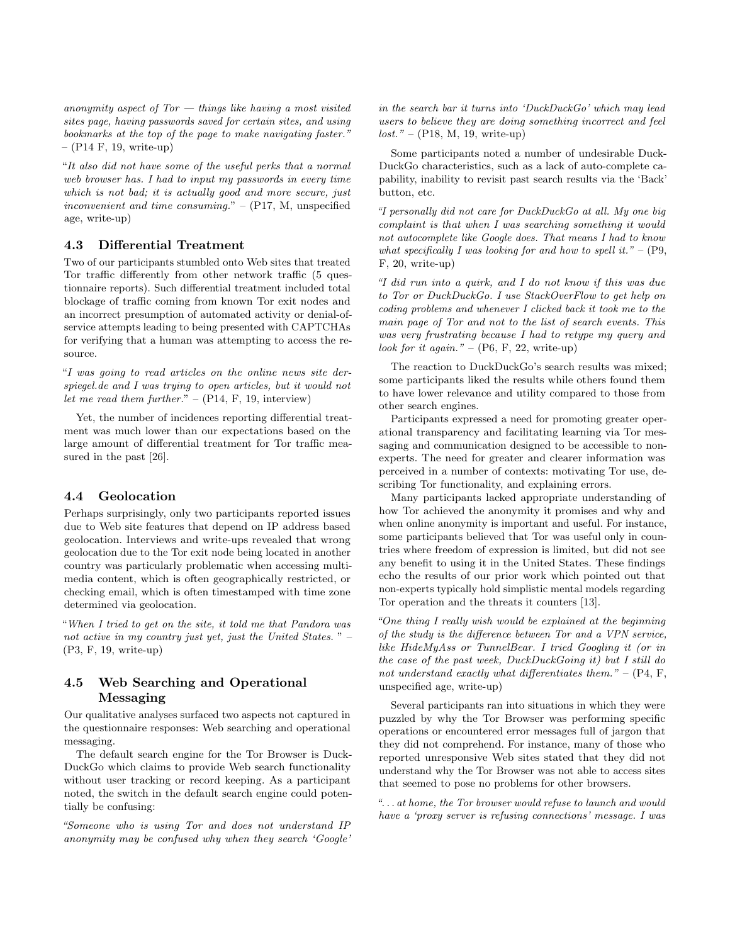anonymity aspect of  $Tor - things$  like having a most visited sites page, having passwords saved for certain sites, and using bookmarks at the top of the page to make navigating faster." – (P14 F, 19, write-up)

"It also did not have some of the useful perks that a normal web browser has. I had to input my passwords in every time which is not bad; it is actually good and more secure, just inconvenient and time consuming."  $-$  (P17, M, unspecified age, write-up)

#### 4.3 Differential Treatment

Two of our participants stumbled onto Web sites that treated Tor traffic differently from other network traffic (5 questionnaire reports). Such differential treatment included total blockage of traffic coming from known Tor exit nodes and an incorrect presumption of automated activity or denial-ofservice attempts leading to being presented with CAPTCHAs for verifying that a human was attempting to access the resource.

"I was going to read articles on the online news site derspiegel.de and I was trying to open articles, but it would not let me read them further."  $-$  (P14, F, 19, interview)

Yet, the number of incidences reporting differential treatment was much lower than our expectations based on the large amount of differential treatment for Tor traffic measured in the past [\[26\]](#page-11-21).

#### 4.4 Geolocation

Perhaps surprisingly, only two participants reported issues due to Web site features that depend on IP address based geolocation. Interviews and write-ups revealed that wrong geolocation due to the Tor exit node being located in another country was particularly problematic when accessing multimedia content, which is often geographically restricted, or checking email, which is often timestamped with time zone determined via geolocation.

"When I tried to get on the site, it told me that Pandora was not active in my country just yet, just the United States.  $"$  – (P3, F, 19, write-up)

# 4.5 Web Searching and Operational Messaging

Our qualitative analyses surfaced two aspects not captured in the questionnaire responses: Web searching and operational messaging.

The default search engine for the Tor Browser is Duck-DuckGo which claims to provide Web search functionality without user tracking or record keeping. As a participant noted, the switch in the default search engine could potentially be confusing:

"Someone who is using Tor and does not understand IP anonymity may be confused why when they search 'Google' in the search bar it turns into 'DuckDuckGo' which may lead users to believe they are doing something incorrect and feel  $lost.$ " – (P18, M, 19, write-up)

Some participants noted a number of undesirable Duck-DuckGo characteristics, such as a lack of auto-complete capability, inability to revisit past search results via the 'Back' button, etc.

"I personally did not care for DuckDuckGo at all. My one big complaint is that when I was searching something it would not autocomplete like Google does. That means I had to know what specifically I was looking for and how to spell it."  $-$  (P9, F, 20, write-up)

"I did run into a quirk, and I do not know if this was due to Tor or DuckDuckGo. I use StackOverFlow to get help on coding problems and whenever I clicked back it took me to the main page of Tor and not to the list of search events. This was very frustrating because I had to retype my query and look for it again." –  $(P6, F, 22, write-up)$ 

The reaction to DuckDuckGo's search results was mixed; some participants liked the results while others found them to have lower relevance and utility compared to those from other search engines.

Participants expressed a need for promoting greater operational transparency and facilitating learning via Tor messaging and communication designed to be accessible to nonexperts. The need for greater and clearer information was perceived in a number of contexts: motivating Tor use, describing Tor functionality, and explaining errors.

Many participants lacked appropriate understanding of how Tor achieved the anonymity it promises and why and when online anonymity is important and useful. For instance, some participants believed that Tor was useful only in countries where freedom of expression is limited, but did not see any benefit to using it in the United States. These findings echo the results of our prior work which pointed out that non-experts typically hold simplistic mental models regarding Tor operation and the threats it counters [\[13\]](#page-11-15).

"One thing I really wish would be explained at the beginning of the study is the difference between Tor and a VPN service, like HideMyAss or TunnelBear. I tried Googling it (or in the case of the past week, DuckDuckGoing it) but I still do not understand exactly what differentiates them."  $-$  (P4, F, unspecified age, write-up)

Several participants ran into situations in which they were puzzled by why the Tor Browser was performing specific operations or encountered error messages full of jargon that they did not comprehend. For instance, many of those who reported unresponsive Web sites stated that they did not understand why the Tor Browser was not able to access sites that seemed to pose no problems for other browsers.

". . . at home, the Tor browser would refuse to launch and would have a 'proxy server is refusing connections' message. I was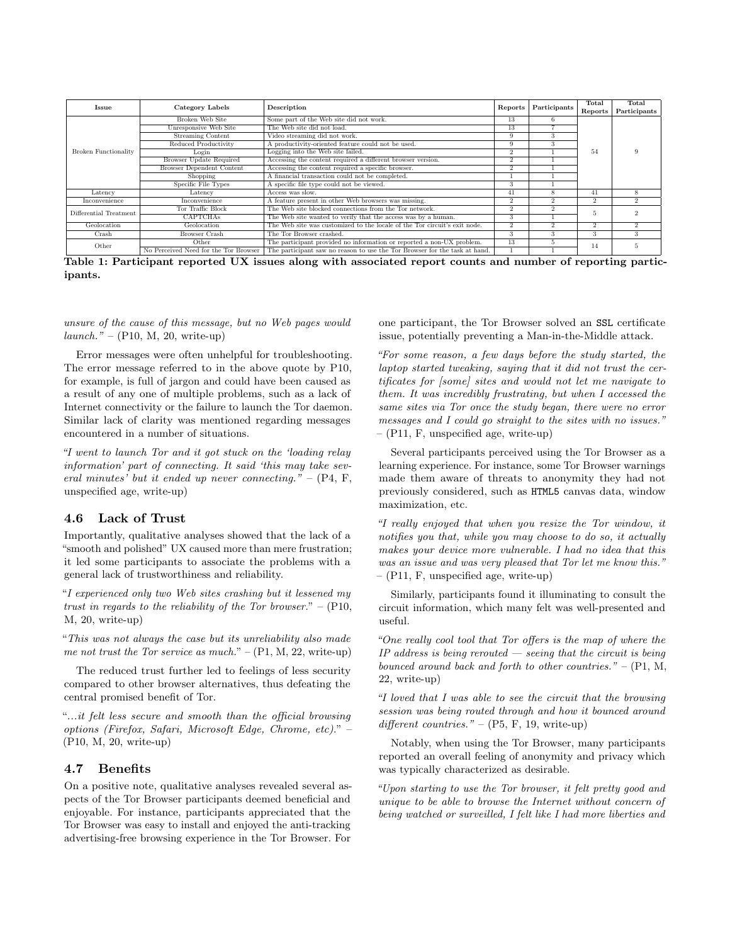<span id="page-7-0"></span>

| Issue                       | Category Labels                       | Description                                                                | Reports      | Participants | Total          | Total          |
|-----------------------------|---------------------------------------|----------------------------------------------------------------------------|--------------|--------------|----------------|----------------|
|                             |                                       |                                                                            |              |              | Reports        | Participants   |
| <b>Broken Functionality</b> | Broken Web Site                       | Some part of the Web site did not work.                                    | 13           | n            | 54             |                |
|                             | Unresponsive Web Site                 | The Web site did not load.                                                 | 13           |              |                |                |
|                             | Streaming Content                     | Video streaming did not work.                                              | 9            |              |                |                |
|                             | Reduced Productivity                  | A productivity-oriented feature could not be used.                         | 9            |              |                |                |
|                             | Login                                 | Logging into the Web site failed.                                          | 2            |              |                |                |
|                             | <b>Browser Update Required</b>        | Accessing the content required a different browser version.                | 2            |              |                |                |
|                             | Browser Dependent Content             | Accessing the content required a specific browser.                         | $\Omega$     |              |                |                |
|                             | Shopping                              | A financial transaction could not be completed.                            |              |              |                |                |
|                             | Specific File Types                   | A specific file type could not be viewed.                                  | $\bullet$    |              |                |                |
| Latency                     | Latency                               | Access was slow.                                                           | 41           |              | 41             | 8              |
| Inconvenience               | Inconvenience                         | A feature present in other Web browsers was missing.                       | റ            |              | $\overline{2}$ | $\overline{2}$ |
| Differential Treatment      | Tor Traffic Block                     | The Web site blocked connections from the Tor network.                     | $\Omega$     |              | h              |                |
|                             | <b>CAPTCHAs</b>                       | The Web site wanted to verify that the access was by a human.              | $\bullet$    |              |                |                |
| Geolocation                 | Geolocation                           | The Web site was customized to the locale of the Tor circuit's exit node.  | 2            |              | $\overline{2}$ | $\overline{2}$ |
| Crash                       | Browser Crash                         | The Tor Browser crashed.                                                   | $\sim$<br>-5 |              | 3              | 3              |
| Other                       | Other                                 | The participant provided no information or reported a non-UX problem.      | 13           | h            | 14             | ÷.             |
|                             | No Perceived Need for the Tor Browser | The participant saw no reason to use the Tor Browser for the task at hand. |              |              |                |                |

Table 1: Participant reported UX issues along with associated report counts and number of reporting participants.

unsure of the cause of this message, but no Web pages would  $launch.$ " – (P10, M, 20, write-up)

Error messages were often unhelpful for troubleshooting. The error message referred to in the above quote by P10, for example, is full of jargon and could have been caused as a result of any one of multiple problems, such as a lack of Internet connectivity or the failure to launch the Tor daemon. Similar lack of clarity was mentioned regarding messages encountered in a number of situations.

"I went to launch Tor and it got stuck on the 'loading relay information' part of connecting. It said 'this may take several minutes' but it ended up never connecting."  $-$  (P4, F, unspecified age, write-up)

#### 4.6 Lack of Trust

Importantly, qualitative analyses showed that the lack of a "smooth and polished" UX caused more than mere frustration; it led some participants to associate the problems with a general lack of trustworthiness and reliability.

"I experienced only two Web sites crashing but it lessened my trust in regards to the reliability of the Tor browser."  $-$  (P10, M, 20, write-up)

"This was not always the case but its unreliability also made me not trust the Tor service as much."  $-$  (P1, M, 22, write-up)

The reduced trust further led to feelings of less security compared to other browser alternatives, thus defeating the central promised benefit of Tor.

"...it felt less secure and smooth than the official browsing options (Firefox, Safari, Microsoft Edge, Chrome, etc)." – (P10, M, 20, write-up)

#### 4.7 Benefits

On a positive note, qualitative analyses revealed several aspects of the Tor Browser participants deemed beneficial and enjoyable. For instance, participants appreciated that the Tor Browser was easy to install and enjoyed the anti-tracking advertising-free browsing experience in the Tor Browser. For

one participant, the Tor Browser solved an SSL certificate issue, potentially preventing a Man-in-the-Middle attack.

"For some reason, a few days before the study started, the laptop started tweaking, saying that it did not trust the certificates for [some] sites and would not let me navigate to them. It was incredibly frustrating, but when I accessed the same sites via Tor once the study began, there were no error messages and I could go straight to the sites with no issues." – (P11, F, unspecified age, write-up)

Several participants perceived using the Tor Browser as a learning experience. For instance, some Tor Browser warnings made them aware of threats to anonymity they had not previously considered, such as HTML5 canvas data, window maximization, etc.

"I really enjoyed that when you resize the Tor window, it notifies you that, while you may choose to do so, it actually makes your device more vulnerable. I had no idea that this was an issue and was very pleased that Tor let me know this." – (P11, F, unspecified age, write-up)

Similarly, participants found it illuminating to consult the circuit information, which many felt was well-presented and useful.

"One really cool tool that Tor offers is the map of where the IP address is being rerouted  $-$  seeing that the circuit is being bounced around back and forth to other countries."  $-$  (P1, M, 22, write-up)

"I loved that I was able to see the circuit that the browsing session was being routed through and how it bounced around different countries." –  $(P5, F, 19, write-up)$ 

Notably, when using the Tor Browser, many participants reported an overall feeling of anonymity and privacy which was typically characterized as desirable.

"Upon starting to use the Tor browser, it felt pretty good and unique to be able to browse the Internet without concern of being watched or surveilled, I felt like I had more liberties and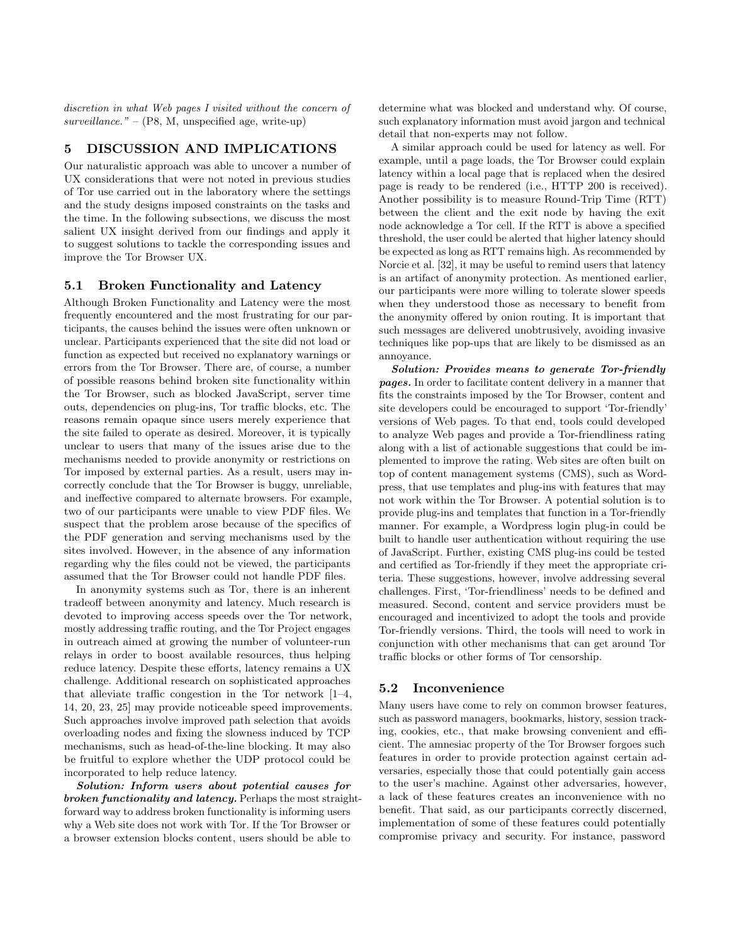discretion in what Web pages I visited without the concern of  $surveillance.$ " – (P8, M, unspecified age, write-up)

## <span id="page-8-0"></span>5 DISCUSSION AND IMPLICATIONS

Our naturalistic approach was able to uncover a number of UX considerations that were not noted in previous studies of Tor use carried out in the laboratory where the settings and the study designs imposed constraints on the tasks and the time. In the following subsections, we discuss the most salient UX insight derived from our findings and apply it to suggest solutions to tackle the corresponding issues and improve the Tor Browser UX.

#### 5.1 Broken Functionality and Latency

Although Broken Functionality and Latency were the most frequently encountered and the most frustrating for our participants, the causes behind the issues were often unknown or unclear. Participants experienced that the site did not load or function as expected but received no explanatory warnings or errors from the Tor Browser. There are, of course, a number of possible reasons behind broken site functionality within the Tor Browser, such as blocked JavaScript, server time outs, dependencies on plug-ins, Tor traffic blocks, etc. The reasons remain opaque since users merely experience that the site failed to operate as desired. Moreover, it is typically unclear to users that many of the issues arise due to the mechanisms needed to provide anonymity or restrictions on Tor imposed by external parties. As a result, users may incorrectly conclude that the Tor Browser is buggy, unreliable, and ineffective compared to alternate browsers. For example, two of our participants were unable to view PDF files. We suspect that the problem arose because of the specifics of the PDF generation and serving mechanisms used by the sites involved. However, in the absence of any information regarding why the files could not be viewed, the participants assumed that the Tor Browser could not handle PDF files.

In anonymity systems such as Tor, there is an inherent tradeoff between anonymity and latency. Much research is devoted to improving access speeds over the Tor network, mostly addressing traffic routing, and the Tor Project engages in outreach aimed at growing the number of volunteer-run relays in order to boost available resources, thus helping reduce latency. Despite these efforts, latency remains a UX challenge. Additional research on sophisticated approaches that alleviate traffic congestion in the Tor network [\[1](#page-11-22)[–4,](#page-11-23) [14,](#page-11-12) [20,](#page-11-10) [23,](#page-11-11) [25\]](#page-11-24) may provide noticeable speed improvements. Such approaches involve improved path selection that avoids overloading nodes and fixing the slowness induced by TCP mechanisms, such as head-of-the-line blocking. It may also be fruitful to explore whether the UDP protocol could be incorporated to help reduce latency.

Solution: Inform users about potential causes for broken functionality and latency. Perhaps the most straightforward way to address broken functionality is informing users why a Web site does not work with Tor. If the Tor Browser or a browser extension blocks content, users should be able to

determine what was blocked and understand why. Of course, such explanatory information must avoid jargon and technical detail that non-experts may not follow.

A similar approach could be used for latency as well. For example, until a page loads, the Tor Browser could explain latency within a local page that is replaced when the desired page is ready to be rendered (i.e., HTTP 200 is received). Another possibility is to measure Round-Trip Time (RTT) between the client and the exit node by having the exit node acknowledge a Tor cell. If the RTT is above a specified threshold, the user could be alerted that higher latency should be expected as long as RTT remains high. As recommended by Norcie et al. [\[32\]](#page-12-3), it may be useful to remind users that latency is an artifact of anonymity protection. As mentioned earlier, our participants were more willing to tolerate slower speeds when they understood those as necessary to benefit from the anonymity offered by onion routing. It is important that such messages are delivered unobtrusively, avoiding invasive techniques like pop-ups that are likely to be dismissed as an annoyance.

Solution: Provides means to generate Tor-friendly pages. In order to facilitate content delivery in a manner that fits the constraints imposed by the Tor Browser, content and site developers could be encouraged to support 'Tor-friendly' versions of Web pages. To that end, tools could developed to analyze Web pages and provide a Tor-friendliness rating along with a list of actionable suggestions that could be implemented to improve the rating. Web sites are often built on top of content management systems (CMS), such as Wordpress, that use templates and plug-ins with features that may not work within the Tor Browser. A potential solution is to provide plug-ins and templates that function in a Tor-friendly manner. For example, a Wordpress login plug-in could be built to handle user authentication without requiring the use of JavaScript. Further, existing CMS plug-ins could be tested and certified as Tor-friendly if they meet the appropriate criteria. These suggestions, however, involve addressing several challenges. First, 'Tor-friendliness' needs to be defined and measured. Second, content and service providers must be encouraged and incentivized to adopt the tools and provide Tor-friendly versions. Third, the tools will need to work in conjunction with other mechanisms that can get around Tor traffic blocks or other forms of Tor censorship.

#### 5.2 Inconvenience

Many users have come to rely on common browser features, such as password managers, bookmarks, history, session tracking, cookies, etc., that make browsing convenient and efficient. The amnesiac property of the Tor Browser forgoes such features in order to provide protection against certain adversaries, especially those that could potentially gain access to the user's machine. Against other adversaries, however, a lack of these features creates an inconvenience with no benefit. That said, as our participants correctly discerned, implementation of some of these features could potentially compromise privacy and security. For instance, password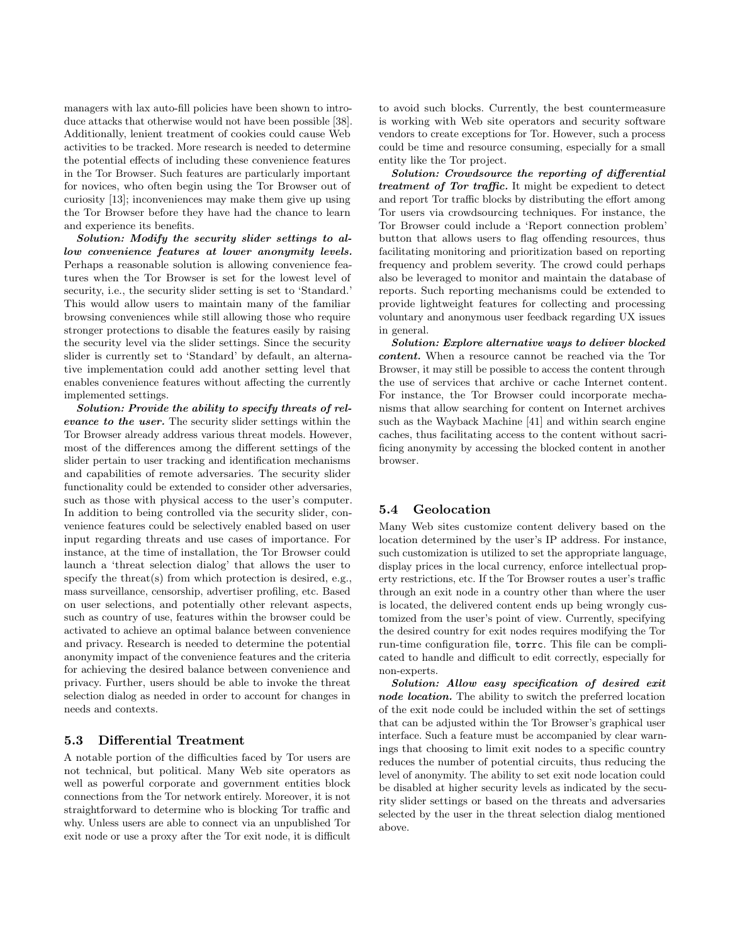managers with lax auto-fill policies have been shown to introduce attacks that otherwise would not have been possible [\[38\]](#page-12-15). Additionally, lenient treatment of cookies could cause Web activities to be tracked. More research is needed to determine the potential effects of including these convenience features in the Tor Browser. Such features are particularly important for novices, who often begin using the Tor Browser out of curiosity [\[13\]](#page-11-15); inconveniences may make them give up using the Tor Browser before they have had the chance to learn and experience its benefits.

Solution: Modify the security slider settings to allow convenience features at lower anonymity levels. Perhaps a reasonable solution is allowing convenience features when the Tor Browser is set for the lowest level of security, i.e., the security slider setting is set to 'Standard.' This would allow users to maintain many of the familiar browsing conveniences while still allowing those who require stronger protections to disable the features easily by raising the security level via the slider settings. Since the security slider is currently set to 'Standard' by default, an alternative implementation could add another setting level that enables convenience features without affecting the currently implemented settings.

Solution: Provide the ability to specify threats of relevance to the user. The security slider settings within the Tor Browser already address various threat models. However, most of the differences among the different settings of the slider pertain to user tracking and identification mechanisms and capabilities of remote adversaries. The security slider functionality could be extended to consider other adversaries, such as those with physical access to the user's computer. In addition to being controlled via the security slider, convenience features could be selectively enabled based on user input regarding threats and use cases of importance. For instance, at the time of installation, the Tor Browser could launch a 'threat selection dialog' that allows the user to specify the threat(s) from which protection is desired, e.g., mass surveillance, censorship, advertiser profiling, etc. Based on user selections, and potentially other relevant aspects, such as country of use, features within the browser could be activated to achieve an optimal balance between convenience and privacy. Research is needed to determine the potential anonymity impact of the convenience features and the criteria for achieving the desired balance between convenience and privacy. Further, users should be able to invoke the threat selection dialog as needed in order to account for changes in needs and contexts.

## 5.3 Differential Treatment

A notable portion of the difficulties faced by Tor users are not technical, but political. Many Web site operators as well as powerful corporate and government entities block connections from the Tor network entirely. Moreover, it is not straightforward to determine who is blocking Tor traffic and why. Unless users are able to connect via an unpublished Tor exit node or use a proxy after the Tor exit node, it is difficult to avoid such blocks. Currently, the best countermeasure is working with Web site operators and security software vendors to create exceptions for Tor. However, such a process could be time and resource consuming, especially for a small entity like the Tor project.

Solution: Crowdsource the reporting of differential treatment of Tor traffic. It might be expedient to detect and report Tor traffic blocks by distributing the effort among Tor users via crowdsourcing techniques. For instance, the Tor Browser could include a 'Report connection problem' button that allows users to flag offending resources, thus facilitating monitoring and prioritization based on reporting frequency and problem severity. The crowd could perhaps also be leveraged to monitor and maintain the database of reports. Such reporting mechanisms could be extended to provide lightweight features for collecting and processing voluntary and anonymous user feedback regarding UX issues in general.

Solution: Explore alternative ways to deliver blocked content. When a resource cannot be reached via the Tor Browser, it may still be possible to access the content through the use of services that archive or cache Internet content. For instance, the Tor Browser could incorporate mechanisms that allow searching for content on Internet archives such as the Wayback Machine [\[41\]](#page-12-16) and within search engine caches, thus facilitating access to the content without sacrificing anonymity by accessing the blocked content in another browser.

## 5.4 Geolocation

Many Web sites customize content delivery based on the location determined by the user's IP address. For instance, such customization is utilized to set the appropriate language, display prices in the local currency, enforce intellectual property restrictions, etc. If the Tor Browser routes a user's traffic through an exit node in a country other than where the user is located, the delivered content ends up being wrongly customized from the user's point of view. Currently, specifying the desired country for exit nodes requires modifying the Tor run-time configuration file, torrc. This file can be complicated to handle and difficult to edit correctly, especially for non-experts.

Solution: Allow easy specification of desired exit node location. The ability to switch the preferred location of the exit node could be included within the set of settings that can be adjusted within the Tor Browser's graphical user interface. Such a feature must be accompanied by clear warnings that choosing to limit exit nodes to a specific country reduces the number of potential circuits, thus reducing the level of anonymity. The ability to set exit node location could be disabled at higher security levels as indicated by the security slider settings or based on the threats and adversaries selected by the user in the threat selection dialog mentioned above.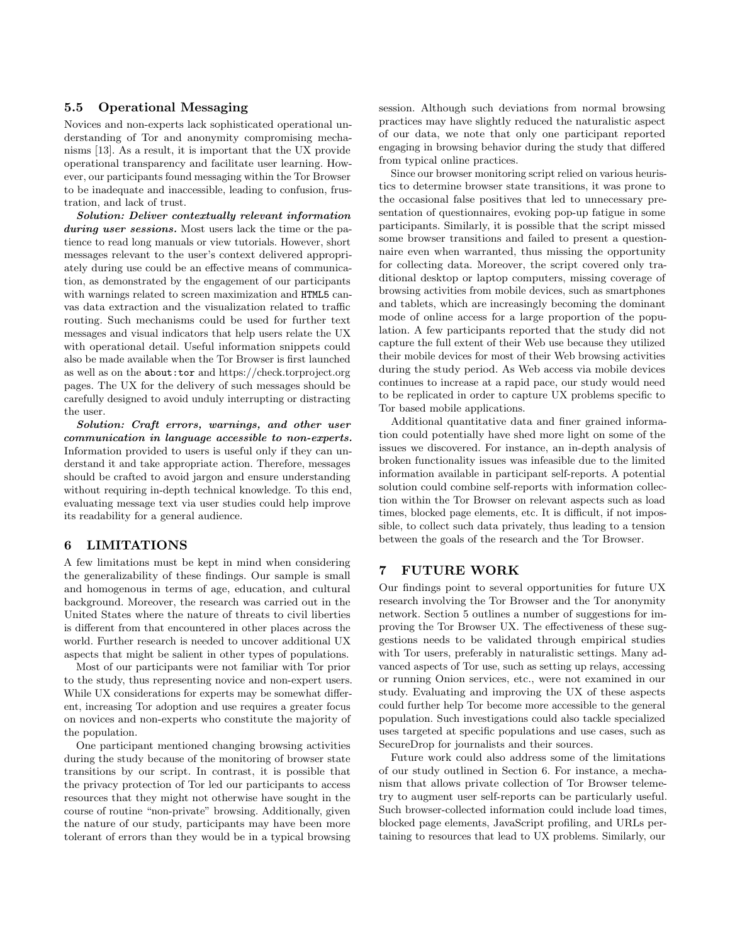#### 5.5 Operational Messaging

Novices and non-experts lack sophisticated operational understanding of Tor and anonymity compromising mechanisms [\[13\]](#page-11-15). As a result, it is important that the UX provide operational transparency and facilitate user learning. However, our participants found messaging within the Tor Browser to be inadequate and inaccessible, leading to confusion, frustration, and lack of trust.

Solution: Deliver contextually relevant information during user sessions. Most users lack the time or the patience to read long manuals or view tutorials. However, short messages relevant to the user's context delivered appropriately during use could be an effective means of communication, as demonstrated by the engagement of our participants with warnings related to screen maximization and HTML5 canvas data extraction and the visualization related to traffic routing. Such mechanisms could be used for further text messages and visual indicators that help users relate the UX with operational detail. Useful information snippets could also be made available when the Tor Browser is first launched as well as on the about:tor and<https://check.torproject.org> pages. The UX for the delivery of such messages should be carefully designed to avoid unduly interrupting or distracting the user.

Solution: Craft errors, warnings, and other user communication in language accessible to non-experts. Information provided to users is useful only if they can understand it and take appropriate action. Therefore, messages should be crafted to avoid jargon and ensure understanding without requiring in-depth technical knowledge. To this end, evaluating message text via user studies could help improve its readability for a general audience.

## <span id="page-10-0"></span>6 LIMITATIONS

A few limitations must be kept in mind when considering the generalizability of these findings. Our sample is small and homogenous in terms of age, education, and cultural background. Moreover, the research was carried out in the United States where the nature of threats to civil liberties is different from that encountered in other places across the world. Further research is needed to uncover additional UX aspects that might be salient in other types of populations.

Most of our participants were not familiar with Tor prior to the study, thus representing novice and non-expert users. While UX considerations for experts may be somewhat different, increasing Tor adoption and use requires a greater focus on novices and non-experts who constitute the majority of the population.

One participant mentioned changing browsing activities during the study because of the monitoring of browser state transitions by our script. In contrast, it is possible that the privacy protection of Tor led our participants to access resources that they might not otherwise have sought in the course of routine "non-private" browsing. Additionally, given the nature of our study, participants may have been more tolerant of errors than they would be in a typical browsing session. Although such deviations from normal browsing practices may have slightly reduced the naturalistic aspect of our data, we note that only one participant reported engaging in browsing behavior during the study that differed from typical online practices.

Since our browser monitoring script relied on various heuristics to determine browser state transitions, it was prone to the occasional false positives that led to unnecessary presentation of questionnaires, evoking pop-up fatigue in some participants. Similarly, it is possible that the script missed some browser transitions and failed to present a questionnaire even when warranted, thus missing the opportunity for collecting data. Moreover, the script covered only traditional desktop or laptop computers, missing coverage of browsing activities from mobile devices, such as smartphones and tablets, which are increasingly becoming the dominant mode of online access for a large proportion of the population. A few participants reported that the study did not capture the full extent of their Web use because they utilized their mobile devices for most of their Web browsing activities during the study period. As Web access via mobile devices continues to increase at a rapid pace, our study would need to be replicated in order to capture UX problems specific to Tor based mobile applications.

Additional quantitative data and finer grained information could potentially have shed more light on some of the issues we discovered. For instance, an in-depth analysis of broken functionality issues was infeasible due to the limited information available in participant self-reports. A potential solution could combine self-reports with information collection within the Tor Browser on relevant aspects such as load times, blocked page elements, etc. It is difficult, if not impossible, to collect such data privately, thus leading to a tension between the goals of the research and the Tor Browser.

# 7 FUTURE WORK

Our findings point to several opportunities for future UX research involving the Tor Browser and the Tor anonymity network. Section [5](#page-8-0) outlines a number of suggestions for improving the Tor Browser UX. The effectiveness of these suggestions needs to be validated through empirical studies with Tor users, preferably in naturalistic settings. Many advanced aspects of Tor use, such as setting up relays, accessing or running Onion services, etc., were not examined in our study. Evaluating and improving the UX of these aspects could further help Tor become more accessible to the general population. Such investigations could also tackle specialized uses targeted at specific populations and use cases, such as SecureDrop for journalists and their sources.

Future work could also address some of the limitations of our study outlined in Section [6.](#page-10-0) For instance, a mechanism that allows private collection of Tor Browser telemetry to augment user self-reports can be particularly useful. Such browser-collected information could include load times, blocked page elements, JavaScript profiling, and URLs pertaining to resources that lead to UX problems. Similarly, our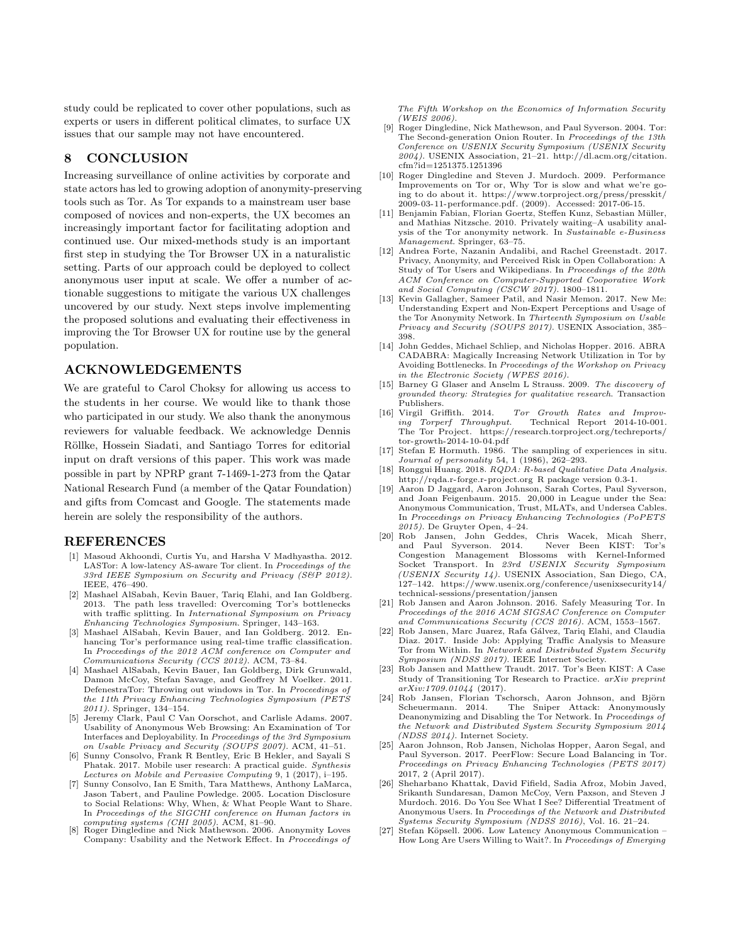study could be replicated to cover other populations, such as experts or users in different political climates, to surface UX issues that our sample may not have encountered.

## 8 CONCLUSION

Increasing surveillance of online activities by corporate and state actors has led to growing adoption of anonymity-preserving tools such as Tor. As Tor expands to a mainstream user base composed of novices and non-experts, the UX becomes an increasingly important factor for facilitating adoption and continued use. Our mixed-methods study is an important first step in studying the Tor Browser UX in a naturalistic setting. Parts of our approach could be deployed to collect anonymous user input at scale. We offer a number of actionable suggestions to mitigate the various UX challenges uncovered by our study. Next steps involve implementing the proposed solutions and evaluating their effectiveness in improving the Tor Browser UX for routine use by the general population.

## ACKNOWLEDGEMENTS

We are grateful to Carol Choksy for allowing us access to the students in her course. We would like to thank those who participated in our study. We also thank the anonymous reviewers for valuable feedback. We acknowledge Dennis Röllke, Hossein Siadati, and Santiago Torres for editorial input on draft versions of this paper. This work was made possible in part by NPRP grant 7-1469-1-273 from the Qatar National Research Fund (a member of the Qatar Foundation) and gifts from Comcast and Google. The statements made herein are solely the responsibility of the authors.

#### REFERENCES

- <span id="page-11-22"></span>[1] Masoud Akhoondi, Curtis Yu, and Harsha V Madhyastha. 2012. LASTor: A low-latency AS-aware Tor client. In Proceedings of the 33rd IEEE Symposium on Security and Privacy (S&P 2012). IEEE, 476–490.
- [2] Mashael AlSabah, Kevin Bauer, Tariq Elahi, and Ian Goldberg. 2013. The path less travelled: Overcoming Tor's bottlenecks with traffic splitting. In International Symposium on Privacy Enhancing Technologies Symposium. Springer, 143–163.
- [3] Mashael AlSabah, Kevin Bauer, and Ian Goldberg. 2012. Enhancing Tor's performance using real-time traffic classification. In Proceedings of the 2012 ACM conference on Computer and Communications Security (CCS 2012). ACM, 73–84.
- <span id="page-11-23"></span>[4] Mashael AlSabah, Kevin Bauer, Ian Goldberg, Dirk Grunwald, Damon McCoy, Stefan Savage, and Geoffrey M Voelker. 2011. DefenestraTor: Throwing out windows in Tor. In Proceedings of the 11th Privacy Enhancing Technologies Symposium (PETS 2011). Springer, 134–154.
- <span id="page-11-2"></span>[5] Jeremy Clark, Paul C Van Oorschot, and Carlisle Adams. 2007. Usability of Anonymous Web Browsing: An Examination of Tor Interfaces and Deployability. In Proceedings of the 3rd Symposium on Usable Privacy and Security (SOUPS 2007). ACM, 41–51.
- <span id="page-11-17"></span>[6] Sunny Consolvo, Frank R Bentley, Eric B Hekler, and Sayali S Phatak. 2017. Mobile user research: A practical guide. Synthesis Lectures on Mobile and Pervasive Computing 9, 1 (2017), i–195.
- <span id="page-11-18"></span>[7] Sunny Consolvo, Ian E Smith, Tara Matthews, Anthony LaMarca, Jason Tabert, and Pauline Powledge. 2005. Location Disclosure to Social Relations: Why, When, & What People Want to Share. In Proceedings of the SIGCHI conference on Human factors in computing systems (CHI 2005). ACM, 81–90. [8] Roger Dingledine and Nick Mathewson. 2006. Anonymity Loves
- <span id="page-11-1"></span>Company: Usability and the Network Effect. In Proceedings of

The Fifth Workshop on the Economics of Information Security  $(WETS 2006)$ 

- <span id="page-11-0"></span>[9] Roger Dingledine, Nick Mathewson, and Paul Syverson, 2004. Tor: The Second-generation Onion Router. In Proceedings of the 13th Conference on USENIX Security Symposium (USENIX Security 2004). USENIX Association, 21–21. [http://dl.acm.org/citation.](http://dl.acm.org/citation.cfm?id=1251375.1251396) [cfm?id=1251375.1251396](http://dl.acm.org/citation.cfm?id=1251375.1251396)
- <span id="page-11-13"></span>[10] Roger Dingledine and Steven J. Murdoch. 2009. Performance Improvements on Tor or, Why Tor is slow and what we're going to do about it. [https://www.torproject.org/press/presskit/](https://www.torproject.org/press/presskit/2009-03-11-performance.pdf) [2009-03-11-performance.pdf.](https://www.torproject.org/press/presskit/2009-03-11-performance.pdf) (2009). Accessed: 2017-06-15.
- <span id="page-11-8"></span>[11] Benjamin Fabian, Florian Goertz, Steffen Kunz, Sebastian Müller, and Mathias Nitzsche. 2010. Privately waiting–A usability analysis of the Tor anonymity network. In Sustainable e-Business Management. Springer, 63–75.
- <span id="page-11-14"></span>[12] Andrea Forte, Nazanin Andalibi, and Rachel Greenstadt. 2017. Privacy, Anonymity, and Perceived Risk in Open Collaboration: A Study of Tor Users and Wikipedians. In Proceedings of the 20th ACM Conference on Computer-Supported Cooporative Work and Social Computing (CSCW 2017). 1800-1811.
- <span id="page-11-15"></span>[13] Kevin Gallagher, Sameer Patil, and Nasir Memon. 2017. New Me: Understanding Expert and Non-Expert Perceptions and Usage of the Tor Anonymity Network. In Thirteenth Symposium on Usable Privacy and Security (SOUPS 2017). USENIX Association, 385– 398.
- <span id="page-11-12"></span>[14] John Geddes, Michael Schliep, and Nicholas Hopper. 2016. ABRA CADABRA: Magically Increasing Network Utilization in Tor by Avoiding Bottlenecks. In Proceedings of the Workshop on Privacy in the Electronic Society (WPES 2016).
- <span id="page-11-19"></span>[15] Barney G Glaser and Anselm L Strauss. 2009. The discovery of grounded theory: Strategies for qualitative research. Transaction Publishers.<br>[16] Virgil Griffith. 2014.
- <span id="page-11-9"></span> $\begin{tabular}{ll} \it Tor & Growth & Rates & and & Improv-\\ \it Technical & Report & 2014-10-001. \end{tabular}$ ing Torperf Throughput. Technical Report 2014-10-001. The Tor Project. [https://research.torproject.org/techreports/](https://research.torproject.org/techreports/tor-growth-2014-10-04.pdf) [tor-growth-2014-10-04.pdf](https://research.torproject.org/techreports/tor-growth-2014-10-04.pdf)
- <span id="page-11-16"></span>[17] Stefan E Hormuth. 1986. The sampling of experiences in situ. Journal of personality 54, 1 (1986), 262–293.
- <span id="page-11-20"></span>[18] Ronggui Huang. 2018. RQDA: R-based Qualitative Data Analysis. <http://rqda.r-forge.r-project.org> R package version 0.3-1.
- <span id="page-11-3"></span>[19] Aaron D Jaggard, Aaron Johnson, Sarah Cortes, Paul Syverson, and Joan Feigenbaum. 2015. 20,000 in League under the Sea: Anonymous Communication, Trust, MLATs, and Undersea Cables. In Proceedings on Privacy Enhancing Technologies (PoPETS 2015). De Gruyter Open, 4–24.
- <span id="page-11-10"></span>[20] Rob Jansen, John Geddes, Chris Wacek, Micah Sherr, and Paul Syverson. 2014. Never Been KIST: Tor's Congestion Management Blossoms with Kernel-Informed Socket Transport. In 23rd USENIX Security Symposium (USENIX Security 14). USENIX Association, San Diego, CA, 127–142. [https://www.usenix.org/conference/usenixsecurity14/](https://www.usenix.org/conference/usenixsecurity14/technical-sessions/presentation/jansen) [technical-sessions/presentation/jansen](https://www.usenix.org/conference/usenixsecurity14/technical-sessions/presentation/jansen)
- <span id="page-11-4"></span>[21] Rob Jansen and Aaron Johnson. 2016. Safely Measuring Tor. In Proceedings of the 2016 ACM SIGSAC Conference on Computer and Communications Security (CCS 2016). ACM, 1553–1567.
- <span id="page-11-5"></span>[22] Rob Jansen, Marc Juarez, Rafa Gálvez, Tariq Elahi, and Claudia Diaz. 2017. Inside Job: Applying Traffic Analysis to Measure Tor from Within. In Network and Distributed System Security Symposium (NDSS 2017). IEEE Internet Society.
- <span id="page-11-11"></span>[23] Rob Jansen and Matthew Traudt. 2017. Tor's Been KIST: A Case Study of Transitioning Tor Research to Practice. arXiv preprint arXiv:1709.01044 (2017).
- <span id="page-11-6"></span>[24] Rob Jansen, Florian Tschorsch, Aaron Johnson, and Björn<br>Scheuermann. 2014. The Sniper Attack: Anonymously The Sniper Attack: Anonymously Deanonymizing and Disabling the Tor Network. In Proceedings of the Network and Distributed System Security Symposium 2014 (NDSS 2014). Internet Society.
- <span id="page-11-24"></span>[25] Aaron Johnson, Rob Jansen, Nicholas Hopper, Aaron Segal, and Paul Syverson. 2017. PeerFlow: Secure Load Balancing in Tor. Proceedings on Privacy Enhancing Technologies (PETS 2017) 2017, 2 (April 2017).
- <span id="page-11-21"></span>[26] Sheharbano Khattak, David Fifield, Sadia Afroz, Mobin Javed, Srikanth Sundaresan, Damon McCoy, Vern Paxson, and Steven J Murdoch. 2016. Do You See What I See? Differential Treatment of Anonymous Users. In Proceedings of the Network and Distributed Systems Security Symposium (NDSS 2016), Vol. 16. 21–24.
- <span id="page-11-7"></span>[27] Stefan Köpsell. 2006. Low Latency Anonymous Communication -How Long Are Users Willing to Wait?. In Proceedings of Emerging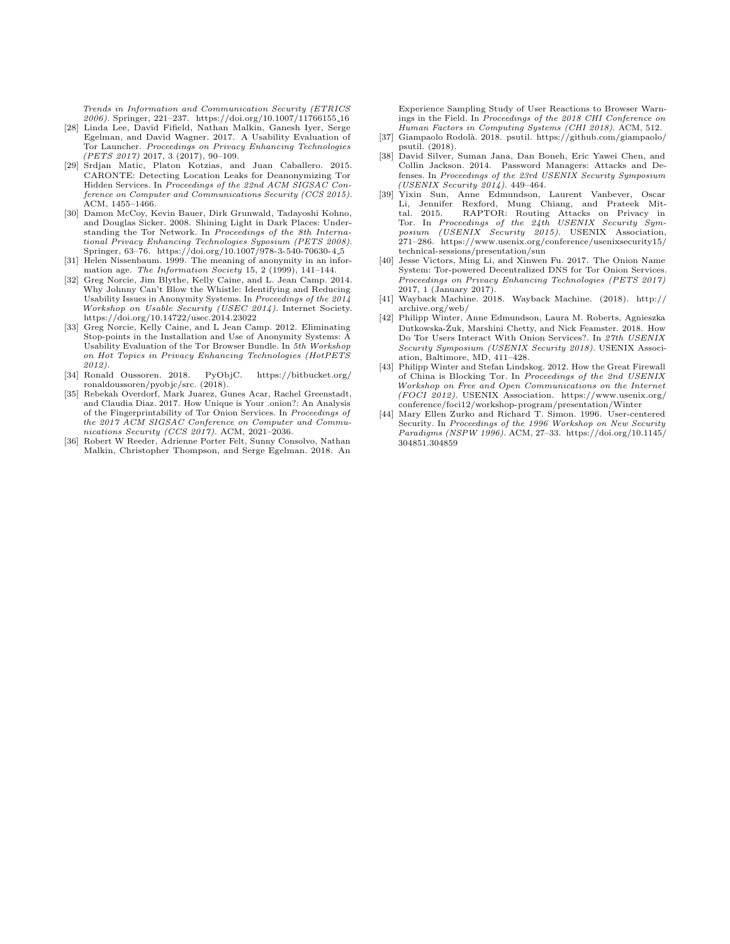Trends in Information and Communication Security (ETRICS 2006). Springer, 221–237. [https://doi.org/10.1007/11766155](https://doi.org/10.1007/11766155_16) 16

- <span id="page-12-2"></span>[28] Linda Lee, David Fifield, Nathan Malkin, Ganesh Iyer, Serge Egelman, and David Wagner. 2017. A Usability Evaluation of Tor Launcher. Proceedings on Privacy Enhancing Technologies (PETS 2017) 2017, 3 (2017), 90–109.
- <span id="page-12-5"></span>[29] Srdjan Matic, Platon Kotzias, and Juan Caballero. 2015. CARONTE: Detecting Location Leaks for Deanonymizing Tor Hidden Services. In Proceedings of the 22nd ACM SIGSAC Conference on Computer and Communications Security (CCS 2015). ACM, 1455–1466.
- <span id="page-12-10"></span>[30] Damon McCoy, Kevin Bauer, Dirk Grunwald, Tadayoshi Kohno, and Douglas Sicker. 2008. Shining Light in Dark Places: Understanding the Tor Network. In Proceedings of the 8th International Privacy Enhancing Technologies Syposium (PETS 2008). Springer, 63–76. [https://doi.org/10.1007/978-3-540-70630-4](https://doi.org/10.1007/978-3-540-70630-4_5) 5
- <span id="page-12-0"></span>[31] Helen Nissenbaum. 1999. The meaning of anonymity in an information age. The Information Society 15, 2 (1999), 141–144.
- <span id="page-12-3"></span>[32] Greg Norcie, Jim Blythe, Kelly Caine, and L. Jean Camp. 2014. Why Johnny Can't Blow the Whistle: Identifying and Reducing Usability Issues in Anonymity Systems. In Proceedings of the 2014 Workshop on Usable Security (USEC 2014). Internet Society. <https://doi.org/10.14722/usec.2014.23022>
- <span id="page-12-4"></span>[33] Greg Norcie, Kelly Caine, and L Jean Camp. 2012. Eliminating Stop-points in the Installation and Use of Anonymity Systems: A Usability Evaluation of the Tor Browser Bundle. In 5th Workshop on Hot Topics in Privacy Enhancing Technologies (HotPETS 2012).
- <span id="page-12-13"></span>[34] Ronald Oussoren. 2018. PyObjC. [https://bitbucket.org/](https://bitbucket.org/ronaldoussoren/pyobjc/src) [ronaldoussoren/pyobjc/src.](https://bitbucket.org/ronaldoussoren/pyobjc/src) (2018).
- <span id="page-12-6"></span>[35] Rebekah Overdorf, Mark Juarez, Gunes Acar, Rachel Greenstadt, and Claudia Diaz. 2017. How Unique is Your .onion?: An Analysis of the Fingerprintability of Tor Onion Services. In Proceedings of the 2017 ACM SIGSAC Conference on Computer and Communications Security (CCS 2017). ACM, 2021-2036.
- <span id="page-12-14"></span>[36] Robert W Reeder, Adrienne Porter Felt, Sunny Consolvo, Nathan Malkin, Christopher Thompson, and Serge Egelman. 2018. An

Experience Sampling Study of User Reactions to Browser Warnings in the Field. In Proceedings of the 2018 CHI Conference on Human Factors in Computing Systems (CHI 2018). ACM, 512.

- <span id="page-12-12"></span>[37] Giampaolo Rodol`a. 2018. psutil. [https://github.com/giampaolo/](https://github.com/giampaolo/psutil) [psutil.](https://github.com/giampaolo/psutil) (2018).
- <span id="page-12-15"></span>[38] David Silver, Suman Jana, Dan Boneh, Eric Yawei Chen, and Collin Jackson. 2014. Password Managers: Attacks and Defenses. In Proceedings of the 23rd USENIX Security Symposium (USENIX Security 2014). 449–464.
- <span id="page-12-7"></span>[39] Yixin Sun, Anne Edmundson, Laurent Vanbever, Oscar Li, Jennifer Rexford, Mung Chiang, and Prateek Mittal. 2015. RAPTOR: Routing Attacks on Privacy in Tor. In *Proceedings of the 24th USENIX Security Sym*posium (USENIX Security 2015). USENIX Association, 271–286. [https://www.usenix.org/conference/usenixsecurity15/](https://www.usenix.org/conference/usenixsecurity15/technical-sessions/presentation/sun) [technical-sessions/presentation/sun](https://www.usenix.org/conference/usenixsecurity15/technical-sessions/presentation/sun)
- <span id="page-12-9"></span>[40] Jesse Victors, Ming Li, and Xinwen Fu. 2017. The Onion Name System: Tor-powered Decentralized DNS for Tor Onion Services. Proceedings on Privacy Enhancing Technologies (PETS 2017) 2017, 1 (January 2017).
- <span id="page-12-16"></span>[41] Wayback Machine. 2018. Wayback Machine. (2018). [http://](http://archive.org/web/) [archive.org/web/](http://archive.org/web/)
- <span id="page-12-11"></span>[42] Philipp Winter, Anne Edmundson, Laura M. Roberts, Agnieszka Dutkowska-Zuk, Marshini Chetty, and Nick Feamster. 2018. How ˙ Do Tor Users Interact With Onion Services?. In 27th USENIX Security Symposium (USENIX Security 2018). USENIX Association, Baltimore, MD, 411–428.
- <span id="page-12-8"></span>[43] Philipp Winter and Stefan Lindskog. 2012. How the Great Firewall of China is Blocking Tor. In Proceedings of the 2nd USENIX Workshop on Free and Open Communications on the Internet (FOCI 2012). USENIX Association. [https://www.usenix.org/](https://www.usenix.org/conference/foci12/workshop-program/presentation/Winter) [conference/foci12/workshop-program/presentation/Winter](https://www.usenix.org/conference/foci12/workshop-program/presentation/Winter)
- <span id="page-12-1"></span>[44] Mary Ellen Zurko and Richard T. Simon. 1996. User-centered Security. In Proceedings of the 1996 Workshop on New Security Paradigms (NSPW 1996). ACM, 27–33. [https://doi.org/10.1145/](https://doi.org/10.1145/304851.304859) [304851.304859](https://doi.org/10.1145/304851.304859)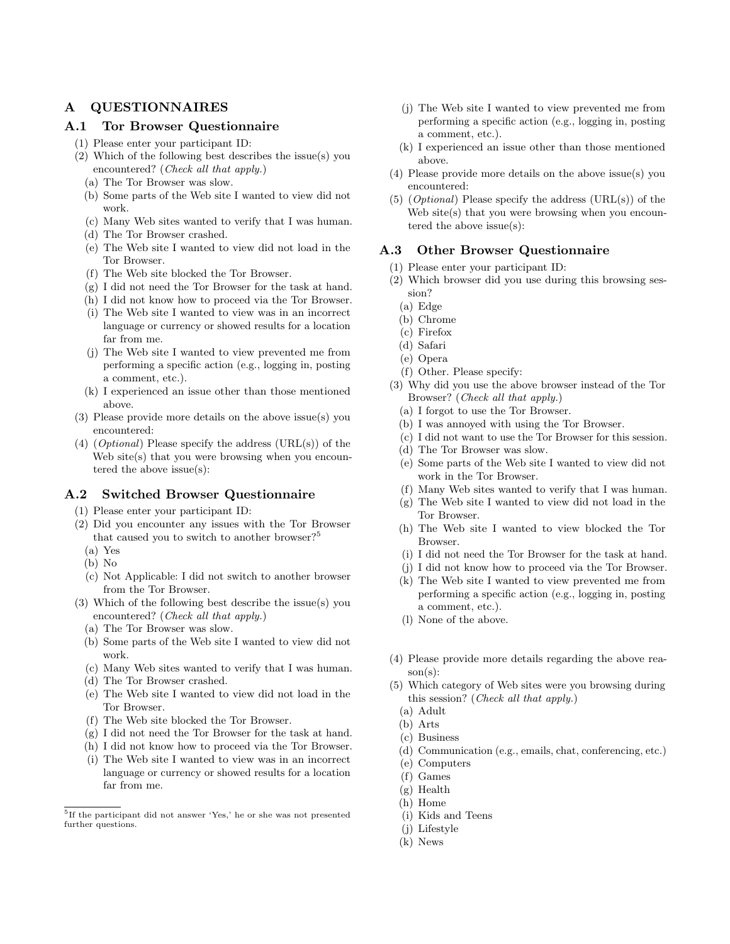## <span id="page-13-0"></span>A QUESTIONNAIRES

#### A.1 Tor Browser Questionnaire

- (1) Please enter your participant ID:
- (2) Which of the following best describes the issue(s) you encountered? (Check all that apply.)
	- (a) The Tor Browser was slow.
	- (b) Some parts of the Web site I wanted to view did not work.
	- (c) Many Web sites wanted to verify that I was human.
	- (d) The Tor Browser crashed.
	- (e) The Web site I wanted to view did not load in the Tor Browser.
	- (f) The Web site blocked the Tor Browser.
	- (g) I did not need the Tor Browser for the task at hand.
	- (h) I did not know how to proceed via the Tor Browser.
	- (i) The Web site I wanted to view was in an incorrect language or currency or showed results for a location far from me.
	- (j) The Web site I wanted to view prevented me from performing a specific action (e.g., logging in, posting a comment, etc.).
	- (k) I experienced an issue other than those mentioned above.
- (3) Please provide more details on the above issue(s) you encountered:
- $(4)$  (*Optional*) Please specify the address (URL $(s)$ ) of the Web site(s) that you were browsing when you encountered the above issue(s):

#### A.2 Switched Browser Questionnaire

- (1) Please enter your participant ID:
- (2) Did you encounter any issues with the Tor Browser that caused you to switch to another browser?[5](#page-13-1)
	- (a) Yes
	- (b) No
	- (c) Not Applicable: I did not switch to another browser from the Tor Browser.
- (3) Which of the following best describe the issue(s) you encountered? (*Check all that apply.*)
	- (a) The Tor Browser was slow.
	- (b) Some parts of the Web site I wanted to view did not work.
	- (c) Many Web sites wanted to verify that I was human.
	- (d) The Tor Browser crashed.
	- (e) The Web site I wanted to view did not load in the Tor Browser.
	- (f) The Web site blocked the Tor Browser.
	- (g) I did not need the Tor Browser for the task at hand.
	- (h) I did not know how to proceed via the Tor Browser.
	- (i) The Web site I wanted to view was in an incorrect language or currency or showed results for a location far from me.
- (j) The Web site I wanted to view prevented me from performing a specific action (e.g., logging in, posting a comment, etc.).
- (k) I experienced an issue other than those mentioned above.
- (4) Please provide more details on the above issue(s) you encountered:
- $(5)$  (*Optional*) Please specify the address (URL $(s)$ ) of the Web site(s) that you were browsing when you encountered the above issue(s):

#### A.3 Other Browser Questionnaire

- (1) Please enter your participant ID:
- (2) Which browser did you use during this browsing session?
	- (a) Edge
	- (b) Chrome
	- (c) Firefox
	- (d) Safari
	- (e) Opera
	- (f) Other. Please specify:
- (3) Why did you use the above browser instead of the Tor Browser? (Check all that apply.)
	- (a) I forgot to use the Tor Browser.
	- (b) I was annoyed with using the Tor Browser.
	- (c) I did not want to use the Tor Browser for this session.
	- (d) The Tor Browser was slow.
	- (e) Some parts of the Web site I wanted to view did not work in the Tor Browser.
	- (f) Many Web sites wanted to verify that I was human.
	- (g) The Web site I wanted to view did not load in the Tor Browser.
	- (h) The Web site I wanted to view blocked the Tor Browser.
	- (i) I did not need the Tor Browser for the task at hand.
	- (j) I did not know how to proceed via the Tor Browser.
	- (k) The Web site I wanted to view prevented me from performing a specific action (e.g., logging in, posting a comment, etc.).
	- (l) None of the above.
- (4) Please provide more details regarding the above reason(s):
- (5) Which category of Web sites were you browsing during this session? (Check all that apply.)
	- (a) Adult
	- (b) Arts
	- (c) Business
	- (d) Communication (e.g., emails, chat, conferencing, etc.)
	- (e) Computers
	- (f) Games
	- (g) Health
	- (h) Home
	- (i) Kids and Teens
	- (j) Lifestyle
	- (k) News

<span id="page-13-1"></span><sup>5</sup> If the participant did not answer 'Yes,' he or she was not presented further questions.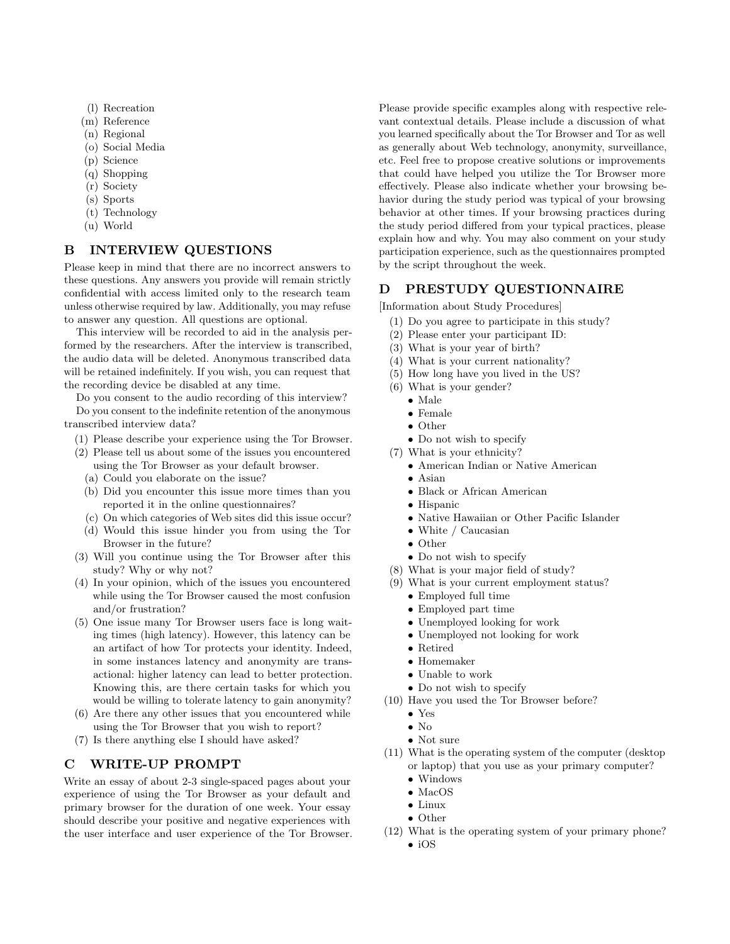- (l) Recreation
- (m) Reference
- (n) Regional
- (o) Social Media
- (p) Science
- (q) Shopping
- (r) Society
- (s) Sports
- (t) Technology
- (u) World

## <span id="page-14-1"></span>B INTERVIEW QUESTIONS

Please keep in mind that there are no incorrect answers to these questions. Any answers you provide will remain strictly confidential with access limited only to the research team unless otherwise required by law. Additionally, you may refuse to answer any question. All questions are optional.

This interview will be recorded to aid in the analysis performed by the researchers. After the interview is transcribed, the audio data will be deleted. Anonymous transcribed data will be retained indefinitely. If you wish, you can request that the recording device be disabled at any time.

Do you consent to the audio recording of this interview? Do you consent to the indefinite retention of the anonymous transcribed interview data?

- (1) Please describe your experience using the Tor Browser.
- (2) Please tell us about some of the issues you encountered
	- using the Tor Browser as your default browser.
	- (a) Could you elaborate on the issue?
	- (b) Did you encounter this issue more times than you reported it in the online questionnaires?
	- (c) On which categories of Web sites did this issue occur?
	- (d) Would this issue hinder you from using the Tor Browser in the future?
- (3) Will you continue using the Tor Browser after this study? Why or why not?
- (4) In your opinion, which of the issues you encountered while using the Tor Browser caused the most confusion and/or frustration?
- (5) One issue many Tor Browser users face is long waiting times (high latency). However, this latency can be an artifact of how Tor protects your identity. Indeed, in some instances latency and anonymity are transactional: higher latency can lead to better protection. Knowing this, are there certain tasks for which you would be willing to tolerate latency to gain anonymity?
- (6) Are there any other issues that you encountered while using the Tor Browser that you wish to report?
- (7) Is there anything else I should have asked?

## <span id="page-14-0"></span>C WRITE-UP PROMPT

Write an essay of about 2-3 single-spaced pages about your experience of using the Tor Browser as your default and primary browser for the duration of one week. Your essay should describe your positive and negative experiences with the user interface and user experience of the Tor Browser. Please provide specific examples along with respective relevant contextual details. Please include a discussion of what you learned specifically about the Tor Browser and Tor as well as generally about Web technology, anonymity, surveillance, etc. Feel free to propose creative solutions or improvements that could have helped you utilize the Tor Browser more effectively. Please also indicate whether your browsing behavior during the study period was typical of your browsing behavior at other times. If your browsing practices during the study period differed from your typical practices, please explain how and why. You may also comment on your study participation experience, such as the questionnaires prompted by the script throughout the week.

## <span id="page-14-2"></span>D PRESTUDY QUESTIONNAIRE

[Information about Study Procedures]

- (1) Do you agree to participate in this study?
- (2) Please enter your participant ID:
- (3) What is your year of birth?
- (4) What is your current nationality?
- (5) How long have you lived in the US?
- (6) What is your gender?
	- Male
	- Female
	- Other
	- Do not wish to specify
- (7) What is your ethnicity?
	- American Indian or Native American
	- Asian
	- Black or African American
	- Hispanic
	- Native Hawaiian or Other Pacific Islander
	- White / Caucasian
	- Other
	- Do not wish to specify
- (8) What is your major field of study?
- (9) What is your current employment status?
	- Employed full time
	- Employed part time
	- Unemployed looking for work
	- Unemployed not looking for work
	- Retired
	- Homemaker
	- Unable to work
	- Do not wish to specify
- (10) Have you used the Tor Browser before?
	- Yes
	- No
	- Not sure
- (11) What is the operating system of the computer (desktop or laptop) that you use as your primary computer?
	- Windows
	- MacOS
	- Linux
	- Other
- (12) What is the operating system of your primary phone?  $\bullet$  iOS